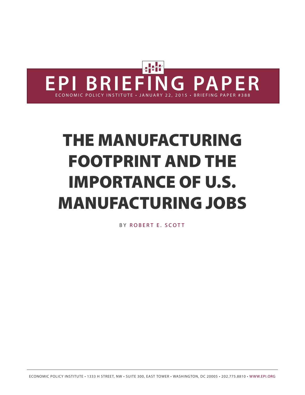

# **THE MANUFACTURING FOOTPRINT AND THE IMPORTANCE OF U.S. MANUFACTURING JOBS**

BY R[OBER](http://www.epi.org/people/robert-e-scott/)T E. SCOTT

ECONOMIC POLICY INSTITUTE • 1333 H STREET, NW • SUITE 300, EAST TOWER • WASHINGTON, DC 20005 • 202.775.8810 • [WWW.EPI.ORG](http://www.epi.org/)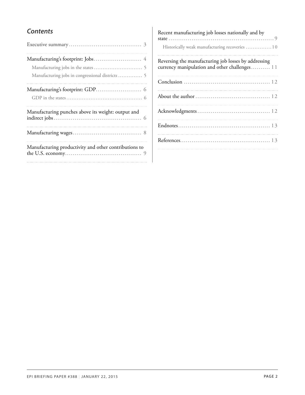### *Contents*

| Manufacturing jobs in congressional districts  5      |
|-------------------------------------------------------|
|                                                       |
| Manufacturing punches above its weight: output and    |
|                                                       |
| Manufacturing productivity and other contributions to |

| Recent manufacturing job losses nationally and by<br>Historically weak manufacturing recoveries  10   |  |
|-------------------------------------------------------------------------------------------------------|--|
| Reversing the manufacturing job losses by addressing<br>currency manipulation and other challenges 11 |  |
|                                                                                                       |  |
|                                                                                                       |  |
|                                                                                                       |  |
|                                                                                                       |  |
|                                                                                                       |  |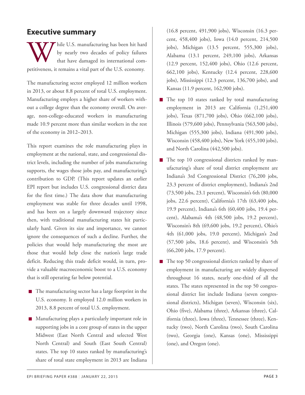### <span id="page-2-0"></span>**Executive summary**

W hile U.S. manufacturing has been hit hard by nearly two decades of policy failure that have damaged its international competitiveness, it remains a vital part of the U.S. economy. hile U.S. manufacturing has been hit hard by nearly two decades of policy failures that have damaged its international com-

The manufacturing sector employed 12 million workers in 2013, or about 8.8 percent of total U.S. employment. Manufacturing employs a higher share of workers without a college degree than the economy overall. On average, non-college-educated workers in manufacturing made 10.9 percent more than similar workers in the rest of the economy in 2012–2013.

This report examines the role manufacturing plays in employment at the national, state, and congressional district levels, including the number of jobs manufacturing supports, the wages those jobs pay, and manufacturing's contribution to GDP. (This report updates an earlier EPI report but includes U.S. congressional district data for the first time.) The data show that manufacturing employment was stable for three decades until 1998, and has been on a largely downward trajectory since then, with traditional manufacturing states hit particularly hard. Given its size and importance, we cannot ignore the consequences of such a decline. Further, the policies that would help manufacturing the most are those that would help close the nation's large trade deficit. Reducing this trade deficit would, in turn, provide a valuable macroeconomic boost to a U.S. economy that is still operating far below potential.

- $\blacksquare$  The manufacturing sector has a large footprint in the U.S. economy. It employed 12.0 million workers in 2013, 8.8 percent of total U.S. employment.
- **Manufacturing plays a particularly important role in** supporting jobs in a core group of states in the upper Midwest (East North Central and selected West North Central) and South (East South Central) states. The top 10 states ranked by manufacturing's share of total state employment in 2013 are Indiana

(16.8 percent, 491,900 jobs), Wisconsin (16.3 percent, 458,400 jobs), Iowa (14.0 percent, 214,500 jobs), Michigan (13.5 percent, 555,300 jobs), Alabama (13.1 percent, 249,100 jobs), Arkansas (12.9 percent, 152,400 jobs), Ohio (12.6 percent, 662,100 jobs), Kentucky (12.4 percent, 228,600 jobs), Mississippi (12.3 percent, 136,700 jobs), and Kansas (11.9 percent, 162,900 jobs).

- $\blacksquare$  The top 10 states ranked by total manufacturing employment in 2013 are California (1,251,400 jobs), Texas (871,700 jobs), Ohio (662,100 jobs), Illinois (579,600 jobs), Pennsylvania (563,500 jobs), Michigan (555,300 jobs), Indiana (491,900 jobs), Wisconsin (458,400 jobs), New York (455,100 jobs), and North Carolina (442,500 jobs).
- The top 10 congressional districts ranked by manufacturing's share of total district employment are Indiana's 3rd Congressional District (76,200 jobs, 23.3 percent of district employment), Indiana's 2nd (73,500 jobs, 23.1 percent), Wisconsin's 6th (80,000 jobs, 22.6 percent), California's 17th (63,400 jobs, 19.9 percent), Indiana's 6th (60,400 jobs, 19.4 percent), Alabama's 4th (48,500 jobs, 19.2 percent), Wisconsin's 8th (69,600 jobs, 19.2 percent), Ohio's 4th (61,000 jobs, 19.0 percent), Michigan's 2nd (57,500 jobs, 18.6 percent), and Wisconsin's 5th (66,200 jobs, 17.9 percent).
- The top 50 congressional districts ranked by share of employment in manufacturing are widely dispersed throughout 16 states, nearly one-third of all the states. The states represented in the top 50 congressional district list include Indiana (seven congressional districts), Michigan (seven), Wisconsin (six), Ohio (five), Alabama (three), Arkansas (three), California (three), Iowa (three), Tennessee (three), Kentucky (two), North Carolina (two), South Carolina (two), Georgia (one), Kansas (one), Mississippi (one), and Oregon (one).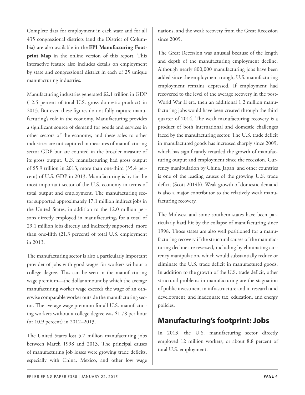Complete data for employment in each state and for all 435 congressional districts (and the District of Columbia) are also available in the **EPI Manufacturing Footprint Map** in the online version of this report. This interactive feature also includes details on employment by state and congressional district in each of 25 unique manufacturing industries.

Manufacturing industries generated \$2.1 trillion in GDP (12.5 percent of total U.S. gross domestic product) in 2013. But even these figures do not fully capture manufacturing's role in the economy. Manufacturing provides a significant source of demand for goods and services in other sectors of the economy, and these sales to other industries are not captured in measures of manufacturing sector GDP but are counted in the broader measure of its gross output. U.S. manufacturing had gross output of \$5.9 trillion in 2013, more than one-third (35.4 percent) of U.S. GDP in 2013. Manufacturing is by far the most important sector of the U.S. economy in terms of total output and employment. The manufacturing sector supported approximately 17.1 million indirect jobs in the United States, in addition to the 12.0 million persons directly employed in manufacturing*,* for a total of 29.1 million jobs directly and indirectly supported, more than one-fifth (21.3 percent) of total U.S. employment in 2013.

The manufacturing sector is also a particularly important provider of jobs with good wages for workers without a college degree. This can be seen in the manufacturing wage premium—the dollar amount by which the average manufacturing worker wage exceeds the wage of an otherwise comparable worker outside the manufacturing sector. The average wage premium for all U.S. manufacturing workers without a college degree was \$1.78 per hour (or 10.9 percent) in 2012–2013.

<span id="page-3-0"></span>The United States lost 5.7 million manufacturing jobs between March 1998 and 2013. The principal causes of manufacturing job losses were growing trade deficits, especially with China, Mexico, and other low wage

nations, and the weak recovery from the Great Recession since 2009.

The Great Recession was unusual because of the length and depth of the manufacturing employment decline. Although nearly 800,000 manufacturing jobs have been added since the employment trough, U.S. manufacturing employment remains depressed. If employment had recovered to the level of the average recovery in the post-World War II era, then an additional 1.2 million manufacturing jobs would have been created through the third quarter of 2014. The weak manufacturing recovery is a product of both international and domestic challenges faced by the manufacturing sector. The U.S. trade deficit in manufactured goods has increased sharply since 2009, which has significantly retarded the growth of manufacturing output and employment since the recession. Currency manipulation by China, Japan, and other countries is one of the leading causes of the growing U.S. trade deficit (Scott 2014b). Weak growth of domestic demand is also a major contributor to the relatively weak manufacturing recovery.

The Midwest and some southern states have been particularly hard hit by the collapse of manufacturing since 1998. Those states are also well positioned for a manufacturing recovery if the structural causes of the manufacturing decline are reversed, including by eliminating currency manipulation, which would substantially reduce or eliminate the U.S. trade deficit in manufactured goods. In addition to the growth of the U.S. trade deficit, other structural problems in manufacturing are the stagnation of public investment in infrastructure and in research and development, and inadequate tax, education, and energy policies.

# **Manufacturing's footprint: Jobs**

In 2013, the U.S. manufacturing sector directly employed 12 million workers, or about 8.8 percent of total U.S. employment.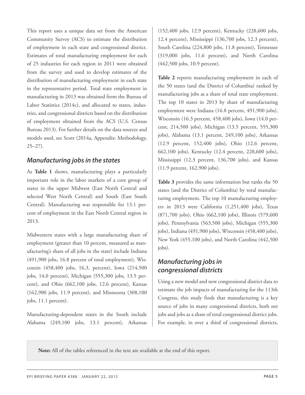This report uses a unique data set from the American Community Survey (ACS) to estimate the distribution of employment in each state and congressional district. Estimates of total manufacturing employment for each of 25 industries for each region in 2011 were obtained from the survey and used to develop estimates of the distribution of manufacturing employment in each state in the representative period. Total state employment in manufacturing in 2013 was obtained from the Bureau of Labor Statistics (2014c), and allocated to states, industries, and congressional districts based on the distribution of employment obtained from the ACS (U.S. Census Bureau 2013). For further details on the data sources and models used, see Scott (2014a, Appendix: Methodology, 25–27).

### <span id="page-4-0"></span>*Manufacturing jobs in the states*

As **Table 1** shows, manufacturing plays a particularly important role in the labor markets of a core group of states in the upper Midwest (East North Central and selected West North Central) and South (East South Central). Manufacturing was responsible for 13.1 percent of employment in the East North Central region in 2013.

<span id="page-4-1"></span>Midwestern states with a large manufacturing share of employment (greater than 10 percent, measured as manufacturing's share of all jobs in the state) include Indiana (491,900 jobs, 16.8 percent of total employment), Wisconsin (458,400 jobs, 16.3, percent), Iowa (214,500 jobs, 14.0 percent), Michigan (555,300 jobs, 13.5 percent), and Ohio (662,100 jobs, 12.6 percent), Kansas (162,900 jobs, 11.9 percent), and Minnesota (308,100 jobs, 11.1 percent).

Manufacturing-dependent states in the South include Alabama (249,100 jobs, 13.1 percent), Arkansas

(152,400 jobs, 12.9 percent), Kentucky (228,600 jobs, 12.4 percent), Mississippi (136,700 jobs, 12.3 percent), South Carolina (224,800 jobs, 11.8 percent), Tennessee (319,000 jobs, 11.6 percent), and North Carolina (442,500 jobs, 10.9 percent).

**Table 2** reports manufacturing employment in each of the 50 states (and the District of Columbia) ranked by manufacturing jobs as a share of total state employment. The top 10 states in 2013 by share of manufacturing employment were Indiana (16.8 percent, 491,900 jobs), Wisconsin (16.3 percent, 458,400 jobs), Iowa (14.0 percent, 214,500 jobs), Michigan (13.5 percent, 555,300 jobs), Alabama (13.1 percent, 249,100 jobs), Arkansas (12.9 percent, 152,400 jobs), Ohio (12.6 percent, 662,100 jobs), Kentucky (12.4 percent, 228,600 jobs), Mississippi (12.3 percent, 136,700 jobs), and Kansas (11.9 percent, 162,900 jobs).

**Table 3** provides the same information but ranks the 50 states (and the District of Columbia) by total manufacturing employment. The top 10 manufacturing employers in 2013 were California (1,251,400 jobs), Texas (871,700 jobs), Ohio (662,100 jobs), Illinois (579,600 jobs), Pennsylvania (563,500 jobs), Michigan (555,300 jobs), Indiana (491,900 jobs), Wisconsin (458,400 jobs), New York (455,100 jobs), and North Carolina (442,500 jobs).

### *Manufacturing jobs in congressional districts*

Using a new model and new congressional district data to estimate the job impacts of manufacturing for the 113th Congress, this study finds that manufacturing is a key source of jobs in many congressional districts, both net jobs and jobs as a share of total congressional district jobs. For example, in over a third of congressional districts,

**Note:** All of the tables referenced in the text are available at the end of this report.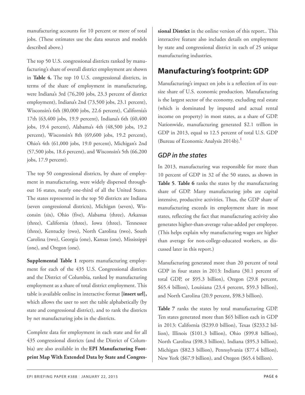manufacturing accounts for 10 percent or more of total jobs. (These estimates use the data sources and models described above.)

<span id="page-5-0"></span>The top 50 U.S. congressional districts ranked by manufacturing's share of overall district employment are shown in **Table 4.** The top 10 U.S. congressional districts, in terms of the share of employment in manufacturing, were Indiana's 3rd (76,200 jobs, 23.3 percent of district employment), Indiana's 2nd (73,500 jobs, 23.1 percent), Wisconsin's 6th (80,000 jobs, 22.6 percent), California's 17th (63,400 jobs, 19.9 percent), Indiana's 6th (60,400 jobs, 19.4 percent), Alabama's 4th (48,500 jobs, 19.2 percent), Wisconsin's 8th (69,600 jobs, 19.2 percent), Ohio's 4th (61,000 jobs, 19.0 percent), Michigan's 2nd (57,500 jobs, 18.6 percent), and Wisconsin's 5th (66,200 jobs, 17.9 percent).

<span id="page-5-3"></span><span id="page-5-1"></span>The top 50 congressional districts, by share of employment in manufacturing, were widely dispersed throughout 16 states, nearly one-third of all the United States. The states represented in the top 50 districts are Indiana (seven congressional districts), Michigan (seven), Wisconsin (six), Ohio (five), Alabama (three), Arkansas (three), California (three), Iowa (three), Tennessee (three), Kentucky (two), North Carolina (two), South Carolina (two), Georgia (one), Kansas (one), Mississippi (one), and Oregon (one).

**Supplemental Table 1** reports manufacturing employment for each of the 435 U.S. Congressional districts and the District of Columbia, ranked by manufacturing employment as a share of total district employment. This table is available online in interactive format **[insert url],** which allows the user to sort the table alphabetically (by state and congressional district), and to rank the districts by net manufacturing jobs in the districts.

<span id="page-5-2"></span>Complete data for employment in each state and for all 435 congressional districts (and the District of Columbia) are also available in the **EPI Manufacturing Footprint Map With Extended Data by State and Congres-** **sional District** in the online version of this report.. This interactive feature also includes details on employment by state and congressional district in each of 25 unique manufacturing industries.

# **Manufacturing's footprint: GDP**

Manufacturing's impact on jobs is a reflection of its outsize share of U.S. economic production. Manufacturing is the largest sector of the economy, excluding real estate (which is dominated by imputed and actual rental income on property) in most states, as a share of GDP. Nationwide, manufacturing generated \$2.1 trillion in GDP in 2013, equal to 12.5 percent of total U.S. GDP (Bureau of Economic Analysis 2014b).**[1](#page-12-2)**

### *GDP in the states*

In 2013, manufacturing was responsible for more than 10 percent of GDP in 32 of the 50 states, as shown in **Table 5**. **Table 6** ranks the states by the manufacturing share of GDP. Many manufacturing jobs are capital intensive, productive activities. Thus, the GDP share of manufacturing exceeds its employment share in most states, reflecting the fact that manufacturing activity also generates higher-than-average value-added per employee. (This helps explain why manufacturing wages are higher than average for non-college-educated workers, as discussed later in this report.)

Manufacturing generated more than 20 percent of total GDP in four states in 2013: Indiana (30.1 percent of total GDP, or \$95.3 billion), Oregon (29.8 percent, \$65.4 billion), Louisiana (23.4 percent, \$59.3 billion), and North Carolina (20.9 percent, \$98.3 billion).

**Table 7** ranks the states by total manufacturing GDP. Ten states generated more than \$65 billion each in GDP in 2013: California (\$239.0 billion), Texas (\$233.2 billion), Illinois (\$101.3 billion), Ohio (\$99.8 billion), North Carolina (\$98.3 billion), Indiana (\$95.3 billion), Michigan (\$82.3 billion), Pennsylvania (\$77.4 billion), New York (\$67.9 billion), and Oregon (\$65.4 billion).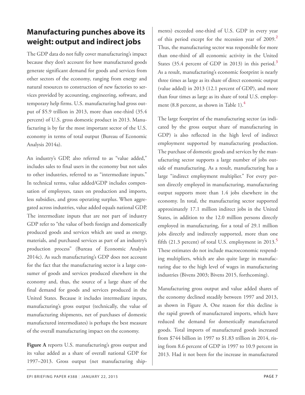# <span id="page-6-0"></span>**Manufacturing punches above its weight: output and indirect jobs**

<span id="page-6-2"></span><span id="page-6-1"></span>The GDP data do not fully cover manufacturing's impact because they don't account for how manufactured goods generate significant demand for goods and services from other sectors of the economy, ranging from energy and natural resources to construction of new factories to services provided by accounting, engineering, software, and temporary help firms. U.S. manufacturing had gross output of \$5.9 trillion in 2013, more than one-third (35.4 percent) of U.S. gross domestic product in 2013. Manufacturing is by far the most important sector of the U.S. economy in terms of total output (Bureau of Economic Analysis 2014a).

<span id="page-6-3"></span>An industry's GDP, also referred to as "value added," includes sales to final users in the economy but not sales to other industries, referred to as "intermediate inputs." In technical terms, value added/GDP includes compensation of employees, taxes on production and imports, less subsidies, and gross operating surplus. When aggregated across industries, value added equals national GDP. The intermediate inputs that are not part of industry GDP refer to "the value of both foreign and domestically produced goods and services which are used as energy, materials, and purchased services as part of an industry's production process" (Bureau of Economic Analysis 2014c). As such manufacturing's GDP does not account for the fact that the manufacturing sector is a large consumer of goods and services produced elsewhere in the economy and, thus, the source of a large share of the final demand for goods and services produced in the United States. Because it includes intermediate inputs, manufacturing's gross output (technically, the value of manufacturing shipments, net of purchases of domestic manufactured intermediates) is perhaps the best measure of the overall manufacturing impact on the economy.

**Figure A** reports U.S. manufacturing's gross output and its value added as a share of overall national GDP for 1997–2013. Gross output (net manufacturing ship-

ments) exceeded one-third of U.S. GDP in every year of this period except for the recession year of 2009.**[2](#page-12-3)** Thus, the manufacturing sector was responsible for more than one-third of all economic activity in the United States (35.4 percent of GDP in 2013) in this period.**[3](#page-12-4)** As a result, manufacturing's economic footprint is nearly three times as large as its share of direct economic output (value added) in 2013 (12.1 percent of GDP), and more than four times as large as its share of total U.S. employment (8.8 percent, as shown in Table 1).**[4](#page-12-5)**

The large footprint of the manufacturing sector (as indicated by the gross output share of manufacturing in GDP) is also reflected in the high level of indirect employment supported by manufacturing production. The purchase of domestic goods and services by the manufacturing sector supports a large number of jobs outside of manufacturing. As a result, manufacturing has a large "indirect employment multiplier." For every person directly employed in manufacturing, manufacturing output supports more than 1.4 jobs elsewhere in the economy. In total, the manufacturing sector supported approximately 17.1 million indirect jobs in the United States, in addition to the 12.0 million persons directly employed in manufacturing, for a total of 29.1 million jobs directly and indirectly supported, more than one fifth (21.3 percent) of total U.S. employment in 2013.**[5](#page-12-6)** These estimates do not include macroeconomic respending multipliers, which are also quite large in manufacturing due to the high level of wages in manufacturing industries (Bivens 2003; Bivens 2015, forthcoming).

Manufacturing gross output and value added shares of the economy declined steadily between 1997 and 2013, as shown in Figure A. One reason for this decline is the rapid growth of manufactured imports, which have reduced the demand for domestically manufactured goods. Total imports of manufactured goods increased from \$744 billion in 1997 to \$1.83 trillion in 2014, rising from 8.6 percent of GDP in 1997 to 10.9 percent in 2013. Had it not been for the increase in manufactured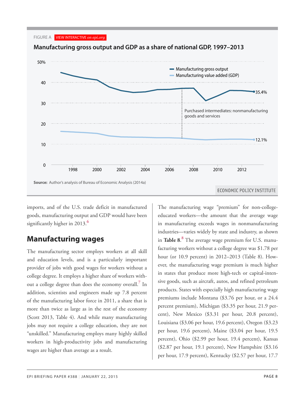



imports, and of the U.S. trade deficit in manufactured goods, manufacturing output and GDP would have been *2013* 35.4% 12.1% significantly higher in 2013.**[6](#page-12-7)**

# <span id="page-7-3"></span><span id="page-7-1"></span><span id="page-7-0"></span>**Manufacturing wages**

<span id="page-7-2"></span>The manufacturing sector employs workers at all skill and education levels, and is a particularly important provider of jobs with good wages for workers without a college degree. It employs a higher share of workers without a college degree than does the economy overall.**[7](#page-12-8)** In addition, scientists and engineers made up 7.8 percent of the manufacturing labor force in 2011, a share that is more than twice as large as in the rest of the economy (Scott 2013, Table 4). And while many manufacturing jobs may not require a college education, they are not "unskilled." Manufacturing employs many highly skilled workers in high-productivity jobs and manufacturing wages are higher than average as a result.

The manufacturing wage "premium" for non-collegeeducated workers—the amount that the average wage in manufacturing exceeds wages in nonmanufacturing industries—varies widely by state and industry, as shown in **Table 8**. **[8](#page-12-9)** The average wage premium for U.S. manufacturing workers without a college degree was \$1.78 per hour (or 10.9 percent) in 2012–2013 (Table 8). However, the manufacturing wage premium is much higher in states that produce more high-tech or capital-intensive goods, such as aircraft, autos, and refined petroleum products. States with especially high manufacturing wage premiums include Montana (\$3.76 per hour, or a 24.4 percent premium), Michigan (\$3.35 per hour, 21.9 percent), New Mexico (\$3.31 per hour, 20.8 percent), Louisiana (\$3.06 per hour, 19.6 percent), Oregon (\$3.23 per hour, 19.6 percent), Maine (\$3.04 per hour, 19.5 percent), Ohio (\$2.99 per hour, 19.4 percent), Kansas (\$2.87 per hour, 19.1 percent), New Hampshire (\$3.16 per hour, 17.9 percent), Kentucky (\$2.57 per hour, 17.7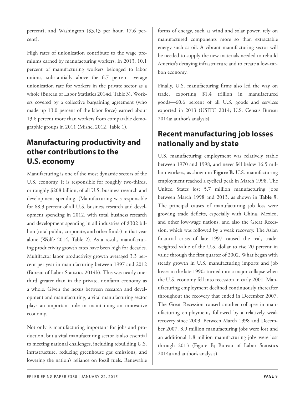percent), and Washington (\$3.13 per hour, 17.6 percent).

High rates of unionization contribute to the wage premiums earned by manufacturing workers. In 2013, 10.1 percent of manufacturing workers belonged to labor unions, substantially above the 6.7 percent average unionization rate for workers in the private sector as a whole (Bureau of Labor Statistics 2014d, Table 3). Workers covered by a collective bargaining agreement (who made up 13.0 percent of the labor force) earned about 13.6 percent more than workers from comparable demographic groups in 2011 (Mishel 2012, Table 1).

# <span id="page-8-1"></span><span id="page-8-0"></span>**Manufacturing productivity and other contributions to the U.S. economy**

Manufacturing is one of the most dynamic sectors of the U.S. economy. It is responsible for roughly two-thirds, or roughly \$208 billion, of all U.S. business research and development spending. (Manufacturing was responsible for 68.9 percent of all U.S. business research and development spending in 2012, with total business research and development spending in all industries of \$302 billion (total public, corporate, and other funds) in that year alone (Wolfe 2014, Table 2). As a result, manufacturing productivity growth rates have been high for decades. Multifactor labor productivity growth averaged 3.3 percent per year in manufacturing between 1997 and 2012 (Bureau of Labor Statistics 2014b). This was nearly onethird greater than in the private, nonfarm economy as a whole. Given the nexus between research and development and manufacturing, a vital manufacturing sector plays an important role in maintaining an innovative economy.

Not only is manufacturing important for jobs and production, but a vital manufacturing sector is also essential to meeting national challenges, including rebuilding U.S. infrastructure, reducing greenhouse gas emissions, and lowering the nation's reliance on fossil fuels. Renewable

forms of energy, such as wind and solar power, rely on manufactured components more so than extractable energy such as oil. A vibrant manufacturing sector will be needed to supply the new materials needed to rebuild America's decaying infrastructure and to create a low-carbon economy.

Finally, U.S. manufacturing firms also led the way on trade, exporting \$1.4 trillion in manufactured goods—60.6 percent of all U.S. goods and services exported in 2013 (USITC 2014; U.S. Census Bureau 2014a; author's analysis).

# **Recent manufacturing job losses nationally and by state**

U.S. manufacturing employment was relatively stable between 1970 and 1998, and never fell below 16.5 million workers, as shown in **Figure B.** U.S. manufacturing employment reached a cyclical peak in March 1998. The United States lost 5.7 million manufacturing jobs between March 1998 and 2013, as shown in **Table 9**. The principal causes of manufacturing job loss were growing trade deficits, especially with China, Mexico, and other low-wage nations, and also the Great Recession, which was followed by a weak recovery. The Asian financial crisis of late 1997 caused the real, tradeweighted value of the U.S. dollar to rise 20 percent in value through the first quarter of 2002. What began with steady growth in U.S. manufacturing imports and job losses in the late 1990s turned into a major collapse when the U.S. economy fell into recession in early 2001. Manufacturing employment declined continuously thereafter throughout the recovery that ended in December 2007. The Great Recession caused another collapse in manufacturing employment, followed by a relatively weak recovery since 2009. Between March 1998 and December 2007, 3.9 million manufacturing jobs were lost and an additional 1.8 million manufacturing jobs were lost through 2013 (Figure B; Bureau of Labor Statistics 2014a and author's analysis).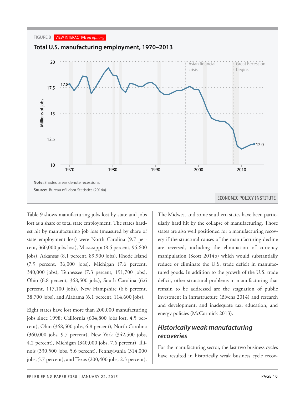

Table 9 shows manufacturing jobs lost by state and jobs lost as a share of total state employment. The states hardest hit by manufacturing job loss (measured by share of 17.9 state employment lost) were North Carolina (9.7 per- 18.0 jobs), Arkansas (8.1 percent, 89,900 jobs), Rhode Island 17.7 (7.9 percent, 36,000 jobs), Michigan (7.6 percent, 17.1 340,000 jobs), Tennessee (7.3 percent, 191,700 jobs), 16.8 Ohio (6.8 percent, 368,500 jobs), South Carolina (6.6 16.8 percent, 117,100 jobs), New Hampshire (6.6 percent, 17.0 38,700 jobs), and Alabama (6.1 percent, 114,600 jobs). cent, 360,000 jobs lost), Mississippi (8.5 percent, 95,600

<span id="page-9-0"></span>Eight states have lost more than 200,000 manufacturing jobs since 1998: California (604,800 jobs lost, 4.5 percent), Ohio (368,500 jobs, 6.8 percent), North Carolina *1998* 17.6 4.2 percent), Michigan (340,000 jobs, 7.6 percent), Illi-*1999* 17.3 nois (330,500 jobs, 5.6 percent), Pennsylvania (314,000 jobs, 5.7 percent), and Texas (200,400 jobs, 2.3 percent). (360,000 jobs, 9.7 percent), New York (342,500 jobs,

The Midwest and some southern states have been particularly hard hit by the collapse of manufacturing. Those states are also well positioned for a manufacturing recovery if the structural causes of the manufacturing decline are reversed, including the elimination of currency manipulation (Scott 2014b) which would substantially reduce or eliminate the U.S. trade deficit in manufactured goods. In addition to the growth of the U.S. trade deficit, other structural problems in manufacturing that remain to be addressed are the stagnation of public investment in infrastructure (Bivens 2014) and research and development, and inadequate tax, education, and energy policies (McCormick 2013).

### *Historically weak manufacturing recoveries*

For the manufacturing sector, the last two business cycles have resulted in historically weak business cycle recov-

*2001* 16.4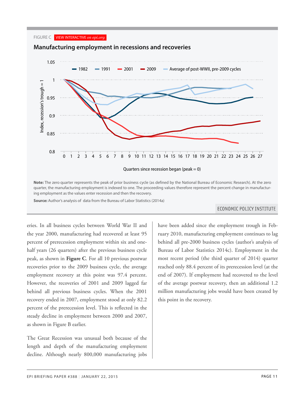#### FIGURE C VIEW INTERACTIVE *on epi.org*

![](_page_10_Figure_1.jpeg)

**Note:** The zero quarter represents the peak of prior business cycle (as defined by the National Bureau of Economic Research). At the zero quarter, the manufacturing employment is indexed to one. The proceeding values therefore represent the percent change in manufacturing employment as the values enter recession and then the recovery.

**Source:** Author's analysis of data from the Bureau of Labor Statistics (2014a)

#### **ECONOMIC POLICY INSTITUTE**

the year 2000, manufacturing had recovered at least 95 **0.825 manufacturing** had recovered at least 95 many 201 percent of prerecession employment within six and one- **behind** a half years (26 quarters) after the previous business cycle **b** Bureau o peak, as shown in **Figure C**. For all 10 previous postwar  $\parallel$  most rece recoveries prior to the 2009 business cycle, the average | reached o employment recovery at this point was 97.4 percent.  $\vert$  end of 2 However, the recoveries of 2001 and 2009 lagged far **o**f the aver behind all previous business cycles. When the 2001 nillion n percent of the prerecession level. This is reflected in the steady decline in employment between 2000 and 2007, as shown in Figure B earlier. eries. In all business cycles between World War II and recovery ended in 2007, employment stood at only 82.2

<span id="page-10-0"></span>The Great Recession was unusual both because of the length and depth of the manufacturing employment decline. Although nearly 800,000 manufacturing jobs

*26* 0.950431 0.880458 0.974274

*14* 0.958556 0.955684 0.842106 0.8515 0.970489 have been added since the employment trough in February 2010, manufacturing employment continues to lag behind all pre-2000 business cycles (author's analysis of Bureau of Labor Statistics 2014c). Employment in the most recent period (the third quarter of 2014) quarter reached only 88.4 percent of its prerecession level (at the end of 2007). If employment had recovered to the level of the average postwar recovery, then an additional 1.2 million manufacturing jobs would have been created by this point in the recovery.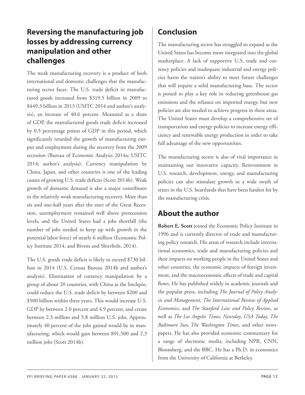# **Reversing the manufacturing job losses by addressing currency manipulation and other challenges**

The weak manufacturing recovery is a product of both international and domestic challenges that the manufacturing sector faces. The U.S. trade deficit in manufactured goods increased from \$319.5 billion in 2009 to \$449.3 billion in 2013 (USITC 2014 and author's analysis), an increase of 40.6 percent. Measured as a share of GDP, the manufactured goods trade deficit increased by 0.5 percentage points of GDP in this period, which significantly retarded the growth of manufacturing output and employment during the recovery from the 2009 recession (Bureau of Economic Analysis 2014a; USITC 2014; author's analysis). Currency manipulation by China, Japan, and other countries is one of the leading causes of growing U.S. trade deficits (Scott 2014b). Weak growth of domestic demand is also a major contributor to the relatively weak manufacturing recovery. More than six and one-half years after the start of the Great Recession, unemployment remained well above prerecession levels, and the United States had a jobs shortfall (the number of jobs needed to keep up with growth in the potential labor force) of nearly 6 million (Economic Policy Institute 2014, and Bivens and Shierholz, 2014).

<span id="page-11-2"></span><span id="page-11-1"></span><span id="page-11-0"></span>The U.S. goods trade deficit is likely to exceed \$730 billion in 2014 (U.S. Census Bureau 2014b and author's analysis). Elimination of currency manipulation by a group of about 20 countries, with China as the linchpin, could reduce the U.S. trade deficit by between \$200 and \$500 billion within three years. This would increase U.S. GDP by between 2.0 percent and 4.9 percent, and create between 2.3 million and 5.8 million U.S. jobs. Approximately 40 percent of the jobs gained would be in manufacturing, which would gain between 891,500 and 2.3 million jobs (Scott 2014b).

# **Conclusion**

The manufacturing sector has struggled to expand as the United States has become more integrated into the global marketplace. A lack of supportive U.S. trade and currency policies and inadequate industrial and energy policies harm the nation's ability to meet future challenges that will require a solid manufacturing base. The sector is poised to play a key role in reducing greenhouse gas emissions and the reliance on imported energy, but new policies are also needed to achieve progress in these areas. The United States must develop a comprehensive set of transportation and energy policies to increase energy efficiency and renewable energy production in order to take full advantage of the new opportunities.

The manufacturing sector is also of vital importance in maintaining our innovative capacity. Reinvestment in U.S. research, development, energy, and manufacturing policies can also stimulate growth in a wide swath of states in the U.S. heartlands that have been hardest hit by the manufacturing crisis.

# **About the author**

**Robert E. Scott** joined the Economic Policy Institute in 1996 and is currently director of trade and manufacturing policy research. His areas of research include international economics, trade and manufacturing policies and their impacts on working people in the United States and other countries, the economic impacts of foreign investment, and the macroeconomic effects of trade and capital flows. He has published widely in academic journals and the popular press, including *The Journal of Policy Analysis and Management*, *The International Review of Applied Economics*, and *The Stanford Law and Policy Review*, as well as *The Los Angeles Times*, *Newsday*, *USA Today*, *The Baltimore Sun*, *The Washington Times*, and other newspapers. He has also provided economic commentary for a range of electronic media, including NPR, CNN, Bloomberg, and the BBC. He has a Ph.D. in economics from the University of California at Berkeley.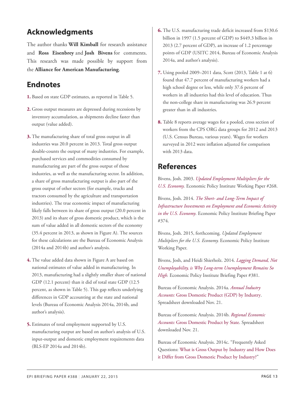# <span id="page-12-7"></span>**Acknowledgments**

The author thanks **Will Kimball** for research assistance and **Ross Eisenbrey** and **Josh Bivens** for comments. This research was made possible by support from the **Alliance for American Manufacturing**.

### <span id="page-12-8"></span><span id="page-12-0"></span>**Endnotes**

- <span id="page-12-2"></span>**[1.](#page-5-3)** Based on state GDP estimates, as reported in Table 5.
- <span id="page-12-9"></span><span id="page-12-3"></span>**[2.](#page-6-0)** Gross output measures are depressed during recessions by inventory accumulation, as shipments decline faster than output (value added).
- <span id="page-12-4"></span><span id="page-12-1"></span>**[3.](#page-6-1)** The manufacturing share of total gross output in all industries was 20.0 percent in 2013. Total gross output double-counts the output of many industries. For example, purchased services and commodities consumed by manufacturing are part of the gross output of those industries, as well as the manufacturing sector. In addition, a share of gross manufacturing output is also part of the gross output of other sectors (for example, trucks and tractors consumed by the agriculture and transportation industries). The true economic impact of manufacturing likely falls between its share of gross output (20.0 percent in 2013) and its share of gross domestic product, which is the sum of value added in all domestic sectors of the economy (35.4 percent in 2013, as shown in Figure A). The sources for these calculations are the Bureau of Economic Analysis (2014a and 2014b) and author's analysis.
- <span id="page-12-5"></span>**[4.](#page-6-2)** The value added data shown in Figure A are based on national estimates of value added in manufacturing. In 2013, manufacturing had a slightly smaller share of national GDP (12.1 percent) than it did of total state GDP (12.5 percent, as shown in Table 5). This gap reflects underlying differences in GDP accounting at the state and national levels (Bureau of Economic Analysis 2014a, 2014b, and author's analysis).
- <span id="page-12-6"></span>**[5.](#page-6-3)** Estimates of total employment supported by U.S. manufacturing output are based on author's analysis of U.S. input-output and domestic employment requirements data (BLS-EP 2014a and 2014b).
- **[6.](#page-7-1)** The U.S. manufacturing trade deficit increased from \$130.6 billion in 1997 (1.5 percent of GDP) to \$449.3 billion in 2013 (2.7 percent of GDP), an increase of 1.2 percentage points of GDP (USITC 2014, Bureau of Economic Analysis 2014a, and author's analysis).
- **[7.](#page-7-2)** Using pooled 2009–2011 data, Scott (2013, Table 1 at 6) found that 47.7 percent of manufacturing workers had a high school degree or less, while only 37.6 percent of workers in all industries had this level of education. Thus the non-college share in manufacturing was 26.9 percent greater than in all industries.
- **[8.](#page-7-3)** Table 8 reports average wages for a pooled, cross section of workers from the CPS ORG data groups for 2012 and 2013 (U.S. Census Bureau, various years). Wages for workers surveyed in 2012 were inflation adjusted for comparison with 2013 data.

# **References**

Bivens, Josh. 2003. *[Updated Employment Multipliers for the](http://www.epi.org/publication/wp268/) [U.S. Economy](http://www.epi.org/publication/wp268/).* Economic Policy Institute Working Paper #268.

Bivens, Josh. 2014. *[The Short- and Long-Term Impact of](http://www.epi.org/publication/impact-of-infrastructure-investments/) [Infrastructure Investments on Employment and Economic Activity](http://www.epi.org/publication/impact-of-infrastructure-investments/) [in the U.S. Economy.](http://www.epi.org/publication/impact-of-infrastructure-investments/)* Economic Policy Institute Briefing Paper #374.

Bivens, Josh. 2015, forthcoming. *Updated Employment Multipliers for the U.S. Economy.* Economic Policy Institute Working Paper.

Bivens, Josh, and Heidi Shierholz. 2014. *[Lagging Demand, Not](http://www.epi.org/publication/lagging-demand-is-behind-high-long-term-unemployment/) [Unemployability, is Why Long-term Unemployment Remains So](http://www.epi.org/publication/lagging-demand-is-behind-high-long-term-unemployment/) [High.](http://www.epi.org/publication/lagging-demand-is-behind-high-long-term-unemployment/)* Economic Policy Institute Briefing Paper #381.

Bureau of Economic Analysis. 2014a. *[Annual Industry](http://bea.gov/industry/index.htm#quarterly) Accounts:* [Gross Domestic Product \(GDP\) by Industry](http://bea.gov/industry/index.htm#quarterly). Spreadsheet downloaded Nov. 21.

Bureau of Economic Analysis. 2014b. *[Regional Economic](http://bea.gov/regional/index.htm) Accounts:* [Gross Domestic Product by State](http://bea.gov/regional/index.htm). Spreadsheet downloaded Nov. 21.

Bureau of Economic Analysis. 2014c. "Frequently Asked Questions: [What is Gross Output by Industry and How Does](http://www.bea.gov/faq/index.cfm?faq_id=1034) [it Differ from Gross Domestic Product by Industry?](http://www.bea.gov/faq/index.cfm?faq_id=1034)"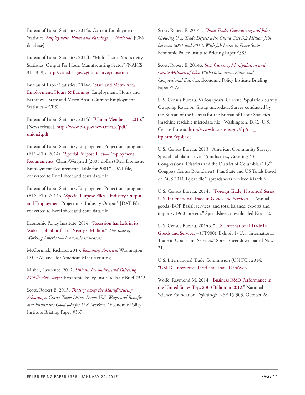Bureau of Labor Statistics. 2014a. Current Employment Statistics. *[Employment, Hours and Earnings — National](http://www.bls.gov/ces/)* [CES database]

Bureau of Labor Statistics. 2014b. "Multi-factor Productivity Statistics, Output Per Hour, Manufacturing Sector" (NAICS 311-339). <http://data.bls.gov/cgi-bin/surveymost?mp>

Bureau of Labor Statistics. 2014c. "[State and Metro Area](http://www.bls.gov/sae/) [Employment, Hours & Earnings:](http://www.bls.gov/sae/) Employment, Hours and Earnings – State and Metro Area" (Current Employment Statistics – CES).

Bureau of Labor Statistics. 2014d. "[Union Members—2013](http://www.bls.gov/news.release/pdf/union2.pdf)." [News release]. [http://www.bls.gov/news.release/pdf/](http://www.bls.gov/news.release/pdf/union2.pdf) [union2.pdf](http://www.bls.gov/news.release/pdf/union2.pdf)

Bureau of Labor Statistics, Employment Projections program (BLS–EP). 2014a. "[Special Purpose Files—Employment](http://www.bls.gov/emp/ep_data_emp_requirements.htm) [Requirements;](http://www.bls.gov/emp/ep_data_emp_requirements.htm) Chain-Weighted (2005 dollars) Real Domestic Employment Requirements Table for 2001″ [DAT file, converted to Excel sheet and Stata data file].

Bureau of Labor Statistics, Employment Projections program (BLS–EP). 2014b. ["Special Purpose Files—Industry Output](http://www.bls.gov/emp/ep_data_industry_out_and_emp.htm) [and Employment](http://www.bls.gov/emp/ep_data_industry_out_and_emp.htm) Projections: Industry Output" [DAT File, converted to Excel sheet and Stata data file].

Economic Policy Institute. 2014. "[Recession has Left in its](http://stateofworkingamerica.org/charts/payroll-employment-and-the-number-of-jobs-needed-to-keep-up-with-the-growth-in-the-potential-labor-force-2000-2014/) [Wake a Job Shortfall of Nearly 6 Million](http://stateofworkingamerica.org/charts/payroll-employment-and-the-number-of-jobs-needed-to-keep-up-with-the-growth-in-the-potential-labor-force-2000-2014/)." *The State of Working America— Economic Indicators*.

McCormick, Richard. 2013. *[Remaking America](http://www.americanmanufacturing.org/research/entry/remaking-america)*. Washington, D.C.: Alliance for American Manufacturing.

Mishel, Lawrence. 2012. *[Unions, Inequality, and Faltering](http://www.epi.org/publication/ib342-unions-inequality-faltering-middle-class/) [Middle-class Wages](http://www.epi.org/publication/ib342-unions-inequality-faltering-middle-class/)*. Economic Policy Institute Issue Brief #342.

Scott, Robert E. 2013. *[Trading Away the Manufacturing](http://www.epi.org/publication/trading-manufacturing-advantage-china-trade/) [Advantage](http://www.epi.org/publication/trading-manufacturing-advantage-china-trade/): China Trade Drives Down U.S. Wages and Benefits and Eliminates Good Jobs for U.S. Workers."* Economic Policy Institute Briefing Paper #367.

Scott, Robert E. 2014a. *[China Trade, Outsourcing and Jobs](http://www.epi.org/publication/china-trade-outsourcing-and-jobs/): Growing U.S. Trade Deficit with China Cost 3.2 Million Jobs between 2001 and 2013, With Job Losses in Every State.* Economic Policy Institute Briefing Paper #385.

Scott, Robert E. 2014b. *[Stop Currency Manipulation and](http://www.epi.org/publication/stop-currency-manipulation-and-create-millions-of-jobs/) [Create Millions of Jobs](http://www.epi.org/publication/stop-currency-manipulation-and-create-millions-of-jobs/): With Gains across States and Congressional Districts*. Economic Policy Institute Briefing Paper #372.

U.S. Census Bureau. Various years. Current Population Survey Outgoing Rotation Group microdata. Survey conducted by the Bureau of the Census for the Bureau of Labor Statistics [machine readable microdata file]. Washington, D.C.: U.S. Census Bureau. [http://www.bls.census.gov/ftp/cps\\_](http://www.bls.census.gov/ftp/cps_ftp.html#cpsbasic) [ftp.html#cpsbasic](http://www.bls.census.gov/ftp/cps_ftp.html#cpsbasic)

U.S. Census Bureau. 2013. "American Community Survey: Special Tabulation over 45 industries, Covering 435 Congressional Districts and the District of Columbia (113<sup>th</sup>) Congress Census Boundaries), Plus State and US Totals Based on ACS 2011 1-year file*"* [spreadsheets received March 6].

U.S. Census Bureau. 2014a. ["Foreign Trade, Historical Series,](http://www.census.gov/foreign-trade/statistics/historical/) [U.S. International Trade in Goods and Services](http://www.census.gov/foreign-trade/statistics/historical/) — Annual goods (BOP Basis), services, and total balance, exports and imports, 1960–present." Spreadsheet, downloaded Nov. 12.

U.S. Census Bureau. 2014b. ["U.S. International Trade in](http://www.census.gov/foreign-trade/Press-Release/current_press_release/) [Goods and Services](http://www.census.gov/foreign-trade/Press-Release/current_press_release/) – (FT900): Exhibit 1- U.S. International Trade in Goods and Services." Spreadsheet downloaded Nov. 21.

U.S. International Trade Commission (USITC). 2014. "[USITC Interactive Tariff and Trade DataWeb.](http://dataweb.usitc.gov/scripts/user_set.asp)"

Wolfe, Raymond M. 2014. ["Business R&D Performance in](http://www.nsf.gov/statistics/2015/nsf15303/) [the United States Tops \\$300 Billion in 2012.](http://www.nsf.gov/statistics/2015/nsf15303/)" National Science Foundation, *Inforbriefs*, NSF 15-303. October 28.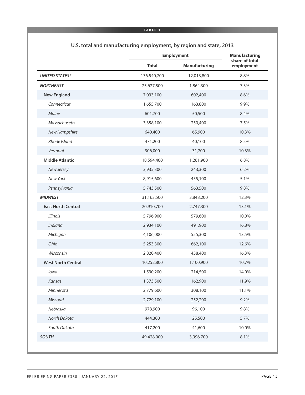|                           |              | <b>Employment</b>    |                              |
|---------------------------|--------------|----------------------|------------------------------|
|                           | <b>Total</b> | <b>Manufacturing</b> | share of total<br>employment |
| <b>UNITED STATES*</b>     | 136,540,700  | 12,013,800           | 8.8%                         |
| <b>NORTHEAST</b>          | 25,627,500   | 1,864,300            | 7.3%                         |
| <b>New England</b>        | 7,033,100    | 602,400              | 8.6%                         |
| Connecticut               | 1,655,700    | 163,800              | 9.9%                         |
| Maine                     | 601,700      | 50,500               | 8.4%                         |
| Massachusetts             | 3,358,100    | 250,400              | 7.5%                         |
| New Hampshire             | 640,400      | 65,900               | 10.3%                        |
| Rhode Island              | 471,200      | 40,100               | 8.5%                         |
| Vermont                   | 306,000      | 31,700               | 10.3%                        |
| <b>Middle Atlantic</b>    | 18,594,400   | 1,261,900            | 6.8%                         |
| New Jersey                | 3,935,300    | 243,300              | 6.2%                         |
| New York                  | 8,915,600    | 455,100              | 5.1%                         |
| Pennsylvania              | 5,743,500    | 563,500              | 9.8%                         |
| <b>MIDWEST</b>            | 31,163,500   | 3,848,200            | 12.3%                        |
| <b>East North Central</b> | 20,910,700   | 2,747,300            | 13.1%                        |
| <b>Illinois</b>           | 5,796,900    | 579,600              | 10.0%                        |
| Indiana                   | 2,934,100    | 491,900              | 16.8%                        |
| Michigan                  | 4,106,000    | 555,300              | 13.5%                        |
| Ohio                      | 5,253,300    | 662,100              | 12.6%                        |
| Wisconsin                 | 2,820,400    | 458,400              | 16.3%                        |
| <b>West North Central</b> | 10,252,800   | 1,100,900            | 10.7%                        |
| lowa                      | 1,530,200    | 214,500              | 14.0%                        |
| Kansas                    | 1,373,500    | 162,900              | 11.9%                        |
| Minnesota                 | 2,779,600    | 308,100              | 11.1%                        |
| Missouri                  | 2,729,100    | 252,200              | 9.2%                         |
| Nebraska                  | 978,900      | 96,100               | 9.8%                         |
| North Dakota              | 444,300      | 25,500               | 5.7%                         |
| South Dakota              | 417,200      | 41,600               | 10.0%                        |
| <b>SOUTH</b>              | 49,428,000   | 3,996,700            | 8.1%                         |

 $\hat{\mathcal{A}}$ 

### **U.S. total and manufacturing employment, by region and state, 2013**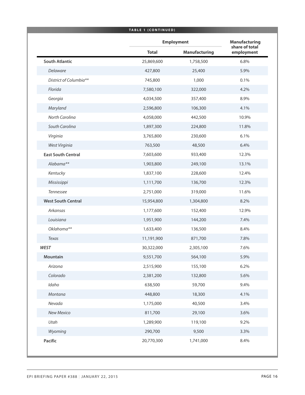|                           | <b>TABLE 1 (CONTINUED)</b> |                      |                              |  |
|---------------------------|----------------------------|----------------------|------------------------------|--|
|                           |                            | <b>Employment</b>    |                              |  |
|                           | <b>Total</b>               | <b>Manufacturing</b> | share of total<br>employment |  |
| <b>South Atlantic</b>     | 25,869,600                 | 1,758,500            | 6.8%                         |  |
| Delaware                  | 427,800                    | 25,400               | 5.9%                         |  |
| District of Columbia**    | 745,800                    | 1,000                | 0.1%                         |  |
| Florida                   | 7,580,100                  | 322,000              | 4.2%                         |  |
| Georgia                   | 4,034,500                  | 357,400              | 8.9%                         |  |
| Maryland                  | 2,596,800                  | 106,300              | 4.1%                         |  |
| North Carolina            | 4,058,000                  | 442,500              | 10.9%                        |  |
| South Carolina            | 1,897,300                  | 224,800              | 11.8%                        |  |
| Virginia                  | 3,765,800                  | 230,600              | 6.1%                         |  |
| West Virginia             | 763,500                    | 48,500               | 6.4%                         |  |
| <b>East South Central</b> | 7,603,600                  | 933,400              | 12.3%                        |  |
| Alabama**                 | 1,903,800                  | 249,100              | 13.1%                        |  |
| Kentucky                  | 1,837,100                  | 228,600              | 12.4%                        |  |
| Mississippi               | 1,111,700                  | 136,700              | 12.3%                        |  |
| Tennessee                 | 2,751,000                  | 319,000              | 11.6%                        |  |
| <b>West South Central</b> | 15,954,800                 | 1,304,800            | 8.2%                         |  |
| Arkansas                  | 1,177,600                  | 152,400              | 12.9%                        |  |
| Louisiana                 | 1,951,900                  | 144,200              | 7.4%                         |  |
| Oklahoma**                | 1,633,400                  | 136,500              | 8.4%                         |  |
| Texas                     | 11,191,900                 | 871,700              | 7.8%                         |  |
| <b>WEST</b>               | 30,322,000                 | 2,305,100            | 7.6%                         |  |
| Mountain                  | 9,551,700                  | 564,100              | 5.9%                         |  |
| Arizona                   | 2,515,900                  | 155,100              | 6.2%                         |  |
| Colorado                  | 2,381,200                  | 132,800              | 5.6%                         |  |
| Idaho                     | 638,500                    | 59,700               | 9.4%                         |  |
| Montana                   | 448,800                    | 18,300               | 4.1%                         |  |
| Nevada                    | 1,175,000                  | 40,500               | 3.4%                         |  |
| New Mexico                | 811,700                    | 29,100               | 3.6%                         |  |
| Utah                      | 1,289,900                  | 119,100              | 9.2%                         |  |
| Wyoming                   | 290,700                    | 9,500                | 3.3%                         |  |
| Pacific                   | 20,770,300                 | 1,741,000            | 8.4%                         |  |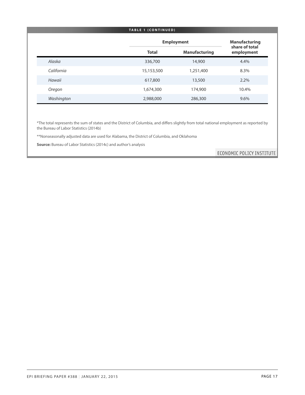#### **TABLE 1 ( C ONTINUED )**

|            |              | <b>Employment</b>    |                              |  |
|------------|--------------|----------------------|------------------------------|--|
|            | <b>Total</b> | <b>Manufacturing</b> | share of total<br>employment |  |
| Alaska     | 336,700      | 14,900               | 4.4%                         |  |
| California | 15,153,500   | 1,251,400            | 8.3%                         |  |
| Hawaii     | 617,800      | 13,500               | 2.2%                         |  |
| Oregon     | 1,674,300    | 174,900              | 10.4%                        |  |
| Washington | 2,988,000    | 286,300              | 9.6%                         |  |

\*The total represents the sum of states and the District of Columbia, and differs slightly from total national employment as reported by the Bureau of Labor Statistics (2014b)

\*\*Nonseasonally adjusted data are used for Alabama, the District of Columbia, and Oklahoma

**Source:** Bureau of Labor Statistics (2014c) and author's analysis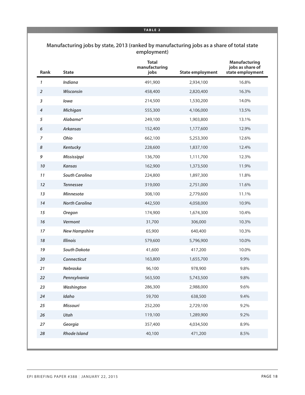#### **Manufacturing jobs by state, 2013 (ranked by manufacturing jobs as a share of total state employment)**

| Rank           | <b>State</b>          | <b>Total</b><br>manufacturing<br>jobs | <b>State employment</b> | <b>Manufacturing</b><br>jobs as share of<br>state employment |
|----------------|-----------------------|---------------------------------------|-------------------------|--------------------------------------------------------------|
| 1              | Indiana               | 491,900                               | 2,934,100               | 16.8%                                                        |
| $\overline{2}$ | Wisconsin             | 458,400                               | 2,820,400               | 16.3%                                                        |
| 3              | lowa                  | 214,500                               | 1,530,200               | 14.0%                                                        |
| 4              | Michigan              | 555,300                               | 4,106,000               | 13.5%                                                        |
| 5              | Alabama*              | 249,100                               | 1,903,800               | 13.1%                                                        |
| 6              | <b>Arkansas</b>       | 152,400                               | 1,177,600               | 12.9%                                                        |
| $\overline{7}$ | Ohio                  | 662,100                               | 5,253,300               | 12.6%                                                        |
| 8              | Kentucky              | 228,600                               | 1,837,100               | 12.4%                                                        |
| 9              | Mississippi           | 136,700                               | 1,111,700               | 12.3%                                                        |
| $10\,$         | <b>Kansas</b>         | 162,900                               | 1,373,500               | 11.9%                                                        |
| 11             | <b>South Carolina</b> | 224,800                               | 1,897,300               | 11.8%                                                        |
| 12             | <b>Tennessee</b>      | 319,000                               | 2,751,000               | 11.6%                                                        |
| 13             | Minnesota             | 308,100                               | 2,779,600               | 11.1%                                                        |
| 14             | <b>North Carolina</b> | 442,500                               | 4,058,000               | 10.9%                                                        |
| 15             | <b>Oregon</b>         | 174,900                               | 1,674,300               | 10.4%                                                        |
| 16             | Vermont               | 31,700                                | 306,000                 | 10.3%                                                        |
| 17             | <b>New Hampshire</b>  | 65,900                                | 640,400                 | 10.3%                                                        |
| 18             | <b>Illinois</b>       | 579,600                               | 5,796,900               | 10.0%                                                        |
| 19             | <b>South Dakota</b>   | 41,600                                | 417,200                 | 10.0%                                                        |
| 20             | Connecticut           | 163,800                               | 1,655,700               | 9.9%                                                         |
| 21             | Nebraska              | 96,100                                | 978,900                 | 9.8%                                                         |
| 22             | Pennsylvania          | 563,500                               | 5,743,500               | 9.8%                                                         |
| 23             | Washington            | 286,300                               | 2,988,000               | 9.6%                                                         |
| 24             | Idaho                 | 59,700                                | 638,500                 | 9.4%                                                         |
| 25             | <b>Missouri</b>       | 252,200                               | 2,729,100               | 9.2%                                                         |
| 26             | Utah                  | 119,100                               | 1,289,900               | 9.2%                                                         |
| 27             | Georgia               | 357,400                               | 4,034,500               | 8.9%                                                         |
| 28             | <b>Rhode Island</b>   | 40,100                                | 471,200                 | 8.5%                                                         |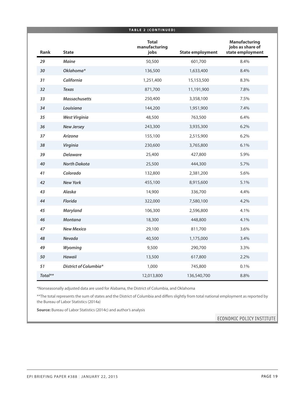|         |                              | TABLE 2 (CONTINUED)                   |                         |                                                              |
|---------|------------------------------|---------------------------------------|-------------------------|--------------------------------------------------------------|
| Rank    | <b>State</b>                 | <b>Total</b><br>manufacturing<br>jobs | <b>State employment</b> | <b>Manufacturing</b><br>jobs as share of<br>state employment |
| 29      | <b>Maine</b>                 | 50,500                                | 601,700                 | 8.4%                                                         |
| 30      | Oklahoma*                    | 136,500                               | 1,633,400               | 8.4%                                                         |
| 31      | California                   | 1,251,400                             | 15,153,500              | 8.3%                                                         |
| 32      | <b>Texas</b>                 | 871,700                               | 11,191,900              | 7.8%                                                         |
| 33      | <b>Massachusetts</b>         | 250,400                               | 3,358,100               | 7.5%                                                         |
| 34      | Louisiana                    | 144,200                               | 1,951,900               | 7.4%                                                         |
| 35      | <b>West Virginia</b>         | 48,500                                | 763,500                 | 6.4%                                                         |
| 36      | <b>New Jersey</b>            | 243,300                               | 3,935,300               | 6.2%                                                         |
| 37      | Arizona                      | 155,100                               | 2,515,900               | 6.2%                                                         |
| 38      | Virginia                     | 230,600                               | 3,765,800               | 6.1%                                                         |
| 39      | <b>Delaware</b>              | 25,400                                | 427,800                 | 5.9%                                                         |
| 40      | <b>North Dakota</b>          | 25,500                                | 444,300                 | 5.7%                                                         |
| 41      | Colorado                     | 132,800                               | 2,381,200               | 5.6%                                                         |
| 42      | <b>New York</b>              | 455,100                               | 8,915,600               | 5.1%                                                         |
| 43      | Alaska                       | 14,900                                | 336,700                 | 4.4%                                                         |
| 44      | <b>Florida</b>               | 322,000                               | 7,580,100               | 4.2%                                                         |
| 45      | Maryland                     | 106,300                               | 2,596,800               | 4.1%                                                         |
| 46      | <b>Montana</b>               | 18,300                                | 448,800                 | 4.1%                                                         |
| 47      | <b>New Mexico</b>            | 29,100                                | 811,700                 | 3.6%                                                         |
| 48      | <b>Nevada</b>                | 40,500                                | 1,175,000               | 3.4%                                                         |
| 49      | Wyoming                      | 9,500                                 | 290,700                 | 3.3%                                                         |
| 50      | <b>Hawaii</b>                | 13,500                                | 617,800                 | 2.2%                                                         |
| 51      | <b>District of Columbia*</b> | 1,000                                 | 745,800                 | 0.1%                                                         |
| Total** |                              | 12,013,800                            | 136,540,700             | 8.8%                                                         |

\*Nonseasonally adjusted data are used for Alabama, the District of Columbia, and Oklahoma

\*\*The total represents the sum of states and the District of Columbia and differs slightly from total national employment as reported by the Bureau of Labor Statistics (2014a)

**Source:** Bureau of Labor Statistics (2014c) and author's analysis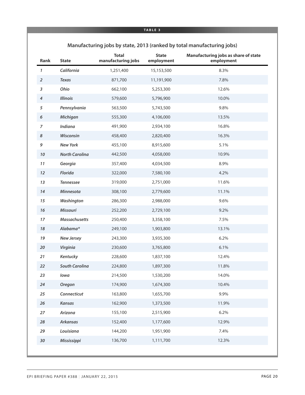### **Manufacturing jobs by state, 2013 (ranked by total manufacturing jobs)**

| Rank           | <b>State</b>          | <b>Total</b><br>manufacturing jobs | <b>State</b><br>employment | Manufacturing jobs as share of state<br>employment |
|----------------|-----------------------|------------------------------------|----------------------------|----------------------------------------------------|
| $\mathbf{1}$   | California            | 1,251,400                          | 15,153,500                 | 8.3%                                               |
| $\overline{2}$ | <b>Texas</b>          | 871,700                            | 11,191,900                 | 7.8%                                               |
| $\sqrt{3}$     | Ohio                  | 662,100                            | 5,253,300                  | 12.6%                                              |
| $\pmb{4}$      | <b>Illinois</b>       | 579,600                            | 5,796,900                  | 10.0%                                              |
| 5              | Pennsylvania          | 563,500                            | 5,743,500                  | 9.8%                                               |
| 6              | Michigan              | 555,300                            | 4,106,000                  | 13.5%                                              |
| $\overline{z}$ | Indiana               | 491,900                            | 2,934,100                  | 16.8%                                              |
| $\pmb{8}$      | Wisconsin             | 458,400                            | 2,820,400                  | 16.3%                                              |
| 9              | <b>New York</b>       | 455,100                            | 8,915,600                  | 5.1%                                               |
| $10\,$         | <b>North Carolina</b> | 442,500                            | 4,058,000                  | 10.9%                                              |
| 11             | Georgia               | 357,400                            | 4,034,500                  | 8.9%                                               |
| 12             | Florida               | 322,000                            | 7,580,100                  | 4.2%                                               |
| 13             | <b>Tennessee</b>      | 319,000                            | 2,751,000                  | 11.6%                                              |
| 14             | Minnesota             | 308,100                            | 2,779,600                  | 11.1%                                              |
| 15             | Washington            | 286,300                            | 2,988,000                  | 9.6%                                               |
| 16             | Missouri              | 252,200                            | 2,729,100                  | 9.2%                                               |
| $17$           | <b>Massachusetts</b>  | 250,400                            | 3,358,100                  | 7.5%                                               |
| 18             | Alabama*              | 249,100                            | 1,903,800                  | 13.1%                                              |
| 19             | <b>New Jersey</b>     | 243,300                            | 3,935,300                  | 6.2%                                               |
| 20             | Virginia              | 230,600                            | 3,765,800                  | 6.1%                                               |
| 21             | <b>Kentucky</b>       | 228,600                            | 1,837,100                  | 12.4%                                              |
| 22             | <b>South Carolina</b> | 224,800                            | 1,897,300                  | 11.8%                                              |
| 23             | lowa                  | 214,500                            | 1,530,200                  | 14.0%                                              |
| 24             | Oregon                | 174,900                            | 1,674,300                  | 10.4%                                              |
| 25             | Connecticut           | 163,800                            | 1,655,700                  | 9.9%                                               |
| 26             | <b>Kansas</b>         | 162,900                            | 1,373,500                  | 11.9%                                              |
| 27             | Arizona               | 155,100                            | 2,515,900                  | 6.2%                                               |
| ${\bf 28}$     | <b>Arkansas</b>       | 152,400                            | 1,177,600                  | 12.9%                                              |
| 29             | Louisiana             | 144,200                            | 1,951,900                  | 7.4%                                               |
| $30\,$         | Mississippi           | 136,700                            | 1,111,700                  | 12.3%                                              |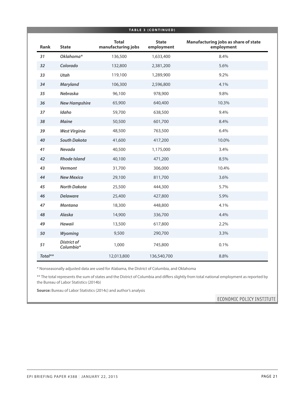| TABLE 3 (CONTINUED) |                                 |                                    |                            |                                                    |  |  |
|---------------------|---------------------------------|------------------------------------|----------------------------|----------------------------------------------------|--|--|
| <b>Rank</b>         | <b>State</b>                    | <b>Total</b><br>manufacturing jobs | <b>State</b><br>employment | Manufacturing jobs as share of state<br>employment |  |  |
| 31                  | Oklahoma*                       | 136,500                            | 1,633,400                  | 8.4%                                               |  |  |
| 32                  | Colorado                        | 132,800                            | 2,381,200                  | 5.6%                                               |  |  |
| 33                  | Utah                            | 119,100                            | 1,289,900                  | 9.2%                                               |  |  |
| 34                  | Maryland                        | 106,300                            | 2,596,800                  | 4.1%                                               |  |  |
| 35                  | Nebraska                        | 96,100                             | 978,900                    | 9.8%                                               |  |  |
| 36                  | <b>New Hampshire</b>            | 65,900                             | 640,400                    | 10.3%                                              |  |  |
| 37                  | Idaho                           | 59,700                             | 638,500                    | 9.4%                                               |  |  |
| 38                  | Maine                           | 50,500                             | 601,700                    | 8.4%                                               |  |  |
| 39                  | <b>West Virginia</b>            | 48,500                             | 763,500                    | 6.4%                                               |  |  |
| 40                  | <b>South Dakota</b>             | 41,600                             | 417,200                    | 10.0%                                              |  |  |
| 41                  | Nevada                          | 40,500                             | 1,175,000                  | 3.4%                                               |  |  |
| 42                  | <b>Rhode Island</b>             | 40,100                             | 471,200                    | 8.5%                                               |  |  |
| 43                  | Vermont                         | 31,700                             | 306,000                    | 10.4%                                              |  |  |
| 44                  | <b>New Mexico</b>               | 29,100                             | 811,700                    | 3.6%                                               |  |  |
| 45                  | <b>North Dakota</b>             | 25,500                             | 444,300                    | 5.7%                                               |  |  |
| 46                  | <b>Delaware</b>                 | 25,400                             | 427,800                    | 5.9%                                               |  |  |
| 47                  | <b>Montana</b>                  | 18,300                             | 448,800                    | 4.1%                                               |  |  |
| 48                  | Alaska                          | 14,900                             | 336,700                    | 4.4%                                               |  |  |
| 49                  | <b>Hawaii</b>                   | 13,500                             | 617,800                    | 2.2%                                               |  |  |
| 50                  | Wyoming                         | 9,500                              | 290,700                    | 3.3%                                               |  |  |
| 51                  | <b>District of</b><br>Columbia* | 1,000                              | 745,800                    | 0.1%                                               |  |  |
| Total**             |                                 | 12,013,800                         | 136,540,700                | 8.8%                                               |  |  |

\* Nonseasonally adjusted data are used for Alabama, the District of Columbia, and Oklahoma

\*\* The total represents the sum of states and the District of Columbia and differs slightly from total national employment as reported by the Bureau of Labor Statistics (2014b)

**Source:** Bureau of Labor Statistics (2014c) and author's analysis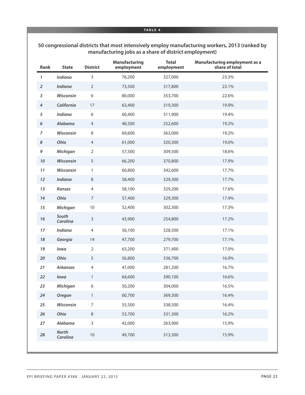| Rank             | <b>State</b>             | <b>District</b>  | <b>Manufacturing</b><br>employment | <b>Total</b><br>employment | <b>Manufacturing employment as a</b><br>share of total |
|------------------|--------------------------|------------------|------------------------------------|----------------------------|--------------------------------------------------------|
| 1                | Indiana                  | 3                | 76,200                             | 327,000                    | 23.3%                                                  |
| $\boldsymbol{2}$ | Indiana                  | $\overline{2}$   | 73,500                             | 317,800                    | 23.1%                                                  |
| 3                | Wisconsin                | 6                | 80,000                             | 353,700                    | 22.6%                                                  |
| 4                | California               | 17               | 63,400                             | 319,300                    | 19.9%                                                  |
| 5                | Indiana                  | 6                | 60,400                             | 311,900                    | 19.4%                                                  |
| 6                | Alabama                  | $\overline{4}$   | 48,500                             | 252,600                    | 19.2%                                                  |
| $\overline{7}$   | Wisconsin                | 8                | 69,600                             | 363,000                    | 19.2%                                                  |
| 8                | Ohio                     | $\overline{4}$   | 61,000                             | 320,300                    | 19.0%                                                  |
| 9                | Michigan                 | $\overline{2}$   | 57,500                             | 309,500                    | 18.6%                                                  |
| 10               | Wisconsin                | 5                | 66,200                             | 370,800                    | 17.9%                                                  |
| 11               | Wisconsin                | $\mathbf{1}$     | 60,800                             | 342,600                    | 17.7%                                                  |
| 12               | <b>Indiana</b>           | $\,8\,$          | 58,400                             | 329,300                    | 17.7%                                                  |
| 13               | Kansas                   | $\overline{4}$   | 58,100                             | 329,200                    | 17.6%                                                  |
| 14               | Ohio                     | $\boldsymbol{7}$ | 57,400                             | 329,300                    | 17.4%                                                  |
| 15               | Michigan                 | $10$             | 52,400                             | 302,300                    | 17.3%                                                  |
| $16$             | South<br>Carolina        | $\mathsf{3}$     | 43,900                             | 254,800                    | 17.2%                                                  |
| 17               | Indiana                  | $\overline{4}$   | 56,100                             | 328,500                    | 17.1%                                                  |
| 18               | Georgia                  | 14               | 47,700                             | 279,700                    | 17.1%                                                  |
| 19               | lowa                     | $\overline{2}$   | 63,200                             | 371,400                    | 17.0%                                                  |
| 20               | Ohio                     | 5                | 56,800                             | 336,700                    | 16.9%                                                  |
| 21               | <b>Arkansas</b>          | $\overline{4}$   | 47,000                             | 281,200                    | 16.7%                                                  |
| 22               | lowa                     | 1                | 64,600                             | 390,100                    | 16.6%                                                  |
| 23               | Michigan                 | $\boldsymbol{6}$ | 50,200                             | 304,000                    | 16.5%                                                  |
| 24               | <b>Oregon</b>            | $\mathbf{1}$     | 60,700                             | 369,300                    | 16.4%                                                  |
| 25               | Wisconsin                | $\boldsymbol{7}$ | 55,500                             | 338,500                    | 16.4%                                                  |
| 26               | Ohio                     | $\,8\,$          | 53,700                             | 331,300                    | 16.2%                                                  |
| 27               | Alabama                  | $\mathsf{3}$     | 42,000                             | 263,900                    | 15.9%                                                  |
| 28               | <b>North</b><br>Carolina | $10$             | 49,700                             | 313,300                    | 15.9%                                                  |

#### **50 congressional districts that most intensively employ manufacturing workers, 2013 (ranked by manufacturing jobs as a share of district employment)**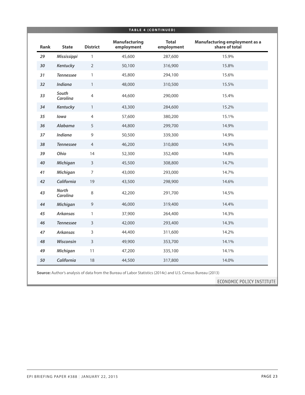| Rank | <b>State</b>             | <b>District</b> | <b>Manufacturing</b><br>employment | <b>Total</b><br>employment | <b>Manufacturing employment as a</b><br>share of total |
|------|--------------------------|-----------------|------------------------------------|----------------------------|--------------------------------------------------------|
| 29   | Mississippi              | $\mathbf{1}$    | 45,600                             | 287,600                    | 15.9%                                                  |
| 30   | Kentucky                 | 2               | 50,100                             | 316,900                    | 15.8%                                                  |
| 31   | <b>Tennessee</b>         | $\mathbf{1}$    | 45,800                             | 294,100                    | 15.6%                                                  |
| 32   | <b>Indiana</b>           | $\mathbf{1}$    | 48,000                             | 310,500                    | 15.5%                                                  |
| 33   | South<br>Carolina        | $\overline{4}$  | 44,600                             | 290,000                    | 15.4%                                                  |
| 34   | Kentucky                 | $\mathbf{1}$    | 43,300                             | 284,600                    | 15.2%                                                  |
| 35   | lowa                     | $\overline{4}$  | 57,600                             | 380,200                    | 15.1%                                                  |
| 36   | <b>Alabama</b>           | 5               | 44,800                             | 299,700                    | 14.9%                                                  |
| 37   | <b>Indiana</b>           | 9               | 50,500                             | 339,300                    | 14.9%                                                  |
| 38   | <b>Tennessee</b>         | $\overline{4}$  | 46,200                             | 310,800                    | 14.9%                                                  |
| 39   | Ohio                     | 14              | 52,300                             | 352,400                    | 14.8%                                                  |
| 40   | Michigan                 | 3               | 45,500                             | 308,800                    | 14.7%                                                  |
| 41   | Michigan                 | $\overline{7}$  | 43,000                             | 293,000                    | 14.7%                                                  |
| 42   | California               | 19              | 43,500                             | 298,900                    | 14.6%                                                  |
| 43   | <b>North</b><br>Carolina | 8               | 42,200                             | 291,700                    | 14.5%                                                  |
| 44   | Michigan                 | $\overline{9}$  | 46,000                             | 319,400                    | 14.4%                                                  |
| 45   | <b>Arkansas</b>          | $\mathbf{1}$    | 37,900                             | 264,400                    | 14.3%                                                  |
| 46   | <b>Tennessee</b>         | $\mathsf{3}$    | 42,000                             | 293,400                    | 14.3%                                                  |
| 47   | <b>Arkansas</b>          | $\mathsf 3$     | 44,400                             | 311,600                    | 14.2%                                                  |
| 48   | <b>Wisconsin</b>         | $\overline{3}$  | 49,900                             | 353,700                    | 14.1%                                                  |
| 49   | Michigan                 | 11              | 47,200                             | 335,100                    | 14.1%                                                  |
| 50   | California               | 18              | 44,500                             | 317,800                    | 14.0%                                                  |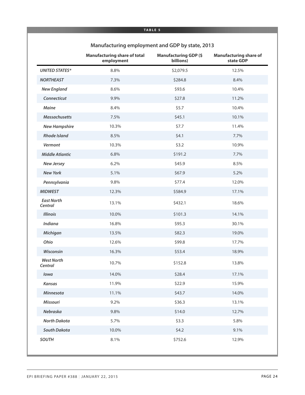|                              | <b>Manufacturing share of total</b><br>employment | <b>Manufacturing GDP (\$</b><br>billions) | <b>Manufacturing share of</b><br>state GDP |
|------------------------------|---------------------------------------------------|-------------------------------------------|--------------------------------------------|
| <b>UNITED STATES*</b>        | 8.8%                                              | \$2,079.5                                 | 12.5%                                      |
| <b>NORTHEAST</b>             | 7.3%                                              | \$284.8                                   | 8.4%                                       |
| <b>New England</b>           | 8.6%                                              | \$93.6                                    | 10.4%                                      |
| Connecticut                  | 9.9%                                              | \$27.8                                    | 11.2%                                      |
| Maine                        | 8.4%                                              | \$5.7                                     | 10.4%                                      |
| <b>Massachusetts</b>         | 7.5%                                              | \$45.1                                    | 10.1%                                      |
| <b>New Hampshire</b>         | 10.3%                                             | \$7.7                                     | 11.4%                                      |
| <b>Rhode Island</b>          | 8.5%                                              | \$4.1                                     | 7.7%                                       |
| Vermont                      | 10.3%                                             | \$3.2                                     | 10.9%                                      |
| <b>Middle Atlantic</b>       | 6.8%                                              | \$191.2                                   | 7.7%                                       |
| <b>New Jersey</b>            | 6.2%                                              | \$45.9                                    | 8.5%                                       |
| <b>New York</b>              | 5.1%                                              | \$67.9                                    | 5.2%                                       |
| Pennsylvania                 | 9.8%                                              | \$77.4                                    | 12.0%                                      |
| <b>MIDWEST</b>               | 12.3%                                             | \$584.9                                   | 17.1%                                      |
| <b>East North</b><br>Central | 13.1%                                             | \$432.1                                   | 18.6%                                      |
| <b>Illinois</b>              | 10.0%                                             | \$101.3                                   | 14.1%                                      |
| Indiana                      | 16.8%                                             | \$95.3                                    | 30.1%                                      |
| Michigan                     | 13.5%                                             | \$82.3                                    | 19.0%                                      |
| Ohio                         | 12.6%                                             | \$99.8                                    | 17.7%                                      |
| Wisconsin                    | 16.3%                                             | \$53.4                                    | 18.9%                                      |
| <b>West North</b><br>Central | 10.7%                                             | \$152.8                                   | 13.8%                                      |
| lowa                         | 14.0%                                             | \$28.4                                    | 17.1%                                      |
| Kansas                       | 11.9%                                             | \$22.9                                    | 15.9%                                      |
| Minnesota                    | 11.1%                                             | \$43.7                                    | 14.0%                                      |
| Missouri                     | 9.2%                                              | \$36.3                                    | 13.1%                                      |
| Nebraska                     | 9.8%                                              | \$14.0                                    | 12.7%                                      |
| <b>North Dakota</b>          | 5.7%                                              | \$3.3                                     | 5.8%                                       |
| South Dakota                 | 10.0%                                             | \$4.2\$                                   | 9.1%                                       |
| <b>SOUTH</b>                 | 8.1%                                              | \$752.6                                   | 12.9%                                      |

### **Manufacturing employment and GDP by state, 2013**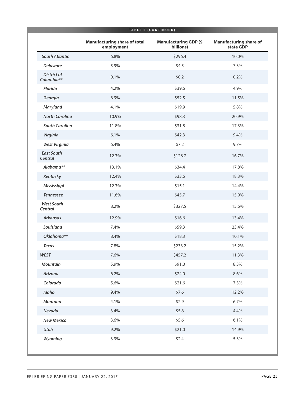| TABLE 5 (CONTINUED)              |                                                   |                                           |                                            |
|----------------------------------|---------------------------------------------------|-------------------------------------------|--------------------------------------------|
|                                  | <b>Manufacturing share of total</b><br>employment | <b>Manufacturing GDP (\$</b><br>billions) | <b>Manufacturing share of</b><br>state GDP |
| <b>South Atlantic</b>            | 6.8%                                              | \$296.4                                   | 10.0%                                      |
| <b>Delaware</b>                  | 5.9%                                              | \$4.5                                     | 7.3%                                       |
| <b>District of</b><br>Columbia** | 0.1%                                              | \$0.2                                     | 0.2%                                       |
| <b>Florida</b>                   | 4.2%                                              | \$39.6                                    | 4.9%                                       |
| Georgia                          | 8.9%                                              | \$52.5                                    | 11.5%                                      |
| <b>Maryland</b>                  | 4.1%                                              | \$19.9                                    | 5.8%                                       |
| <b>North Carolina</b>            | 10.9%                                             | \$98.3                                    | 20.9%                                      |
| <b>South Carolina</b>            | 11.8%                                             | \$31.8                                    | 17.3%                                      |
| Virginia                         | 6.1%                                              | \$42.3                                    | 9.4%                                       |
| <b>West Virginia</b>             | 6.4%                                              | \$7.2                                     | 9.7%                                       |
| <b>East South</b><br>Central     | 12.3%                                             | \$128.7                                   | 16.7%                                      |
| Alabama**                        | 13.1%                                             | \$34.4                                    | 17.8%                                      |
| Kentucky                         | 12.4%                                             | \$33.6                                    | 18.3%                                      |
| Mississippi                      | 12.3%                                             | \$15.1                                    | 14.4%                                      |
| <b>Tennessee</b>                 | 11.6%                                             | \$45.7                                    | 15.9%                                      |
| <b>West South</b><br>Central     | 8.2%                                              | \$327.5                                   | 15.6%                                      |
| <b>Arkansas</b>                  | 12.9%                                             | \$16.6                                    | 13.4%                                      |
| Louisiana                        | 7.4%                                              | \$59.3                                    | 23.4%                                      |
| Oklahoma**                       | 8.4%                                              | \$18.3                                    | 10.1%                                      |
| <b>Texas</b>                     | 7.8%                                              | \$233.2                                   | 15.2%                                      |
| <b>WEST</b>                      | 7.6%                                              | \$457.2                                   | 11.3%                                      |
| <b>Mountain</b>                  | 5.9%                                              | \$91.0                                    | 8.3%                                       |
| Arizona                          | 6.2%                                              | \$24.0                                    | 8.6%                                       |
| Colorado                         | 5.6%                                              | \$21.6                                    | 7.3%                                       |
| Idaho                            | 9.4%                                              | \$7.6                                     | 12.2%                                      |
| <b>Montana</b>                   | 4.1%                                              | \$2.9                                     | 6.7%                                       |
| Nevada                           | 3.4%                                              | \$5.8                                     | 4.4%                                       |
| <b>New Mexico</b>                | 3.6%                                              | \$5.6                                     | 6.1%                                       |
| Utah                             | 9.2%                                              | \$21.0                                    | 14.9%                                      |
| Wyoming                          | 3.3%                                              | \$2.4                                     | 5.3%                                       |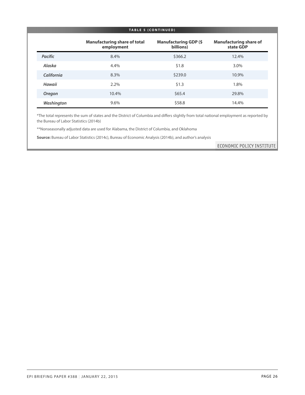| <b>TABLE 5 (CONTINUED)</b> |                                                   |                                           |                                            |
|----------------------------|---------------------------------------------------|-------------------------------------------|--------------------------------------------|
|                            | <b>Manufacturing share of total</b><br>employment | <b>Manufacturing GDP (\$</b><br>billions) | <b>Manufacturing share of</b><br>state GDP |
| <b>Pacific</b>             | 8.4%                                              | \$366.2                                   | 12.4%                                      |
| Alaska                     | 4.4%                                              | \$1.8                                     | 3.0%                                       |
| California                 | 8.3%                                              | \$239.0                                   | 10.9%                                      |
| <b>Hawaii</b>              | 2.2%                                              | \$1.3                                     | 1.8%                                       |
| Oregon                     | 10.4%                                             | \$65.4                                    | 29.8%                                      |
| Washington                 | 9.6%                                              | \$58.8                                    | 14.4%                                      |

\*The total represents the sum of states and the District of Columbia and differs slightly from total national employment as reported by the Bureau of Labor Statistics (2014b)

\*\*Nonseasonally adjusted data are used for Alabama, the District of Columbia, and Oklahoma

**Source:** Bureau of Labor Statistics (2014c), Bureau of Economic Analysis (2014b), and author's analysis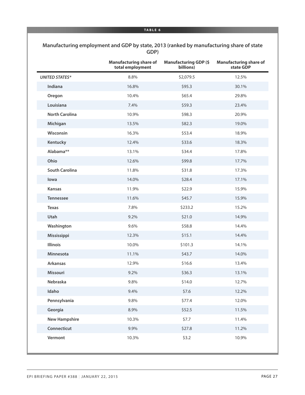| Manufacturing employment and GDP by state, 2013 (ranked by manufacturing share of state |
|-----------------------------------------------------------------------------------------|
| GDP)                                                                                    |

|                       | <b>Manufacturing share of</b><br>total employment | <b>Manufacturing GDP (\$</b><br>billions) | <b>Manufacturing share of</b><br>state GDP |
|-----------------------|---------------------------------------------------|-------------------------------------------|--------------------------------------------|
| <b>UNITED STATES*</b> | 8.8%                                              | \$2,079.5                                 | 12.5%                                      |
| Indiana               | 16.8%                                             | \$95.3                                    | 30.1%                                      |
| Oregon                | 10.4%                                             | \$65.4                                    | 29.8%                                      |
| Louisiana             | 7.4%                                              | \$59.3                                    | 23.4%                                      |
| <b>North Carolina</b> | 10.9%                                             | \$98.3                                    | 20.9%                                      |
| Michigan              | 13.5%                                             | \$82.3                                    | 19.0%                                      |
| Wisconsin             | 16.3%                                             | \$53.4                                    | 18.9%                                      |
| Kentucky              | 12.4%                                             | \$33.6                                    | 18.3%                                      |
| Alabama**             | 13.1%                                             | \$34.4                                    | 17.8%                                      |
| Ohio                  | 12.6%                                             | \$99.8                                    | 17.7%                                      |
| <b>South Carolina</b> | 11.8%                                             | \$31.8                                    | 17.3%                                      |
| lowa                  | 14.0%                                             | \$28.4                                    | 17.1%                                      |
| <b>Kansas</b>         | 11.9%                                             | \$22.9                                    | 15.9%                                      |
| <b>Tennessee</b>      | 11.6%                                             | \$45.7                                    | 15.9%                                      |
| <b>Texas</b>          | 7.8%                                              | \$233.2                                   | 15.2%                                      |
| Utah                  | 9.2%                                              | \$21.0                                    | 14.9%                                      |
| Washington            | 9.6%                                              | \$58.8                                    | 14.4%                                      |
| Mississippi           | 12.3%                                             | \$15.1                                    | 14.4%                                      |
| Illinois              | 10.0%                                             | \$101.3                                   | 14.1%                                      |
| Minnesota             | 11.1%                                             | \$43.7                                    | 14.0%                                      |
| <b>Arkansas</b>       | 12.9%                                             | \$16.6                                    | 13.4%                                      |
| Missouri              | 9.2%                                              | \$36.3                                    | 13.1%                                      |
| Nebraska              | 9.8%                                              | \$14.0                                    | 12.7%                                      |
| Idaho                 | 9.4%                                              | \$7.6                                     | 12.2%                                      |
| Pennsylvania          | 9.8%                                              | \$77.4                                    | 12.0%                                      |
| Georgia               | 8.9%                                              | \$52.5                                    | 11.5%                                      |
| <b>New Hampshire</b>  | 10.3%                                             | \$7.7                                     | 11.4%                                      |
| Connecticut           | 9.9%                                              | \$27.8                                    | 11.2%                                      |
| Vermont               | 10.3%                                             | \$3.2                                     | 10.9%                                      |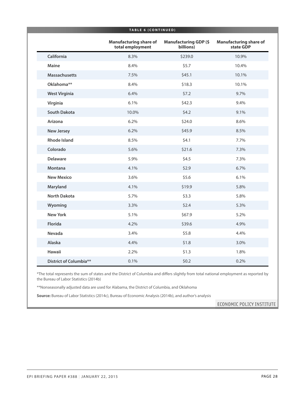|                        | <b>TABLE 6 (CONTINUED)</b>                        |                                           |                                            |
|------------------------|---------------------------------------------------|-------------------------------------------|--------------------------------------------|
|                        | <b>Manufacturing share of</b><br>total employment | <b>Manufacturing GDP (\$</b><br>billions) | <b>Manufacturing share of</b><br>state GDP |
| California             | 8.3%                                              | \$239.0                                   | 10.9%                                      |
| Maine                  | 8.4%                                              | \$5.7                                     | 10.4%                                      |
| <b>Massachusetts</b>   | 7.5%                                              | \$45.1                                    | 10.1%                                      |
| Oklahoma**             | 8.4%                                              | \$18.3                                    | 10.1%                                      |
| <b>West Virginia</b>   | 6.4%                                              | \$7.2                                     | 9.7%                                       |
| Virginia               | 6.1%                                              | \$42.3                                    | 9.4%                                       |
| <b>South Dakota</b>    | 10.0%                                             | \$4.2                                     | 9.1%                                       |
| Arizona                | 6.2%                                              | \$24.0                                    | 8.6%                                       |
| <b>New Jersey</b>      | 6.2%                                              | \$45.9                                    | 8.5%                                       |
| <b>Rhode Island</b>    | 8.5%                                              | \$4.1                                     | 7.7%                                       |
| Colorado               | 5.6%                                              | \$21.6                                    | 7.3%                                       |
| <b>Delaware</b>        | 5.9%                                              | \$4.5                                     | 7.3%                                       |
| Montana                | 4.1%                                              | \$2.9                                     | 6.7%                                       |
| <b>New Mexico</b>      | 3.6%                                              | \$5.6                                     | 6.1%                                       |
| Maryland               | 4.1%                                              | \$19.9                                    | 5.8%                                       |
| <b>North Dakota</b>    | 5.7%                                              | \$3.3                                     | 5.8%                                       |
| Wyoming                | 3.3%                                              | \$2.4                                     | 5.3%                                       |
| <b>New York</b>        | 5.1%                                              | \$67.9                                    | 5.2%                                       |
| <b>Florida</b>         | 4.2%                                              | \$39.6                                    | 4.9%                                       |
| Nevada                 | 3.4%                                              | \$5.8                                     | 4.4%                                       |
| Alaska                 | 4.4%                                              | \$1.8                                     | 3.0%                                       |
| <b>Hawaii</b>          | 2.2%                                              | \$1.3                                     | 1.8%                                       |
| District of Columbia** | 0.1%                                              | \$0.2\$                                   | 0.2%                                       |

\*The total represents the sum of states and the District of Columbia and differs slightly from total national employment as reported by the Bureau of Labor Statistics (2014b)

\*\*Nonseasonally adjusted data are used for Alabama, the District of Columbia, and Oklahoma

**Source:** Bureau of Labor Statistics (2014c), Bureau of Economic Analysis (2014b), and author's analysis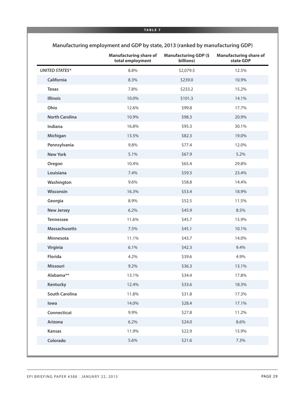|                       | <b>Manufacturing share of</b><br>total employment | <b>Manufacturing GDP (\$</b><br>billions) | <b>Manufacturing share of</b><br>state GDP |
|-----------------------|---------------------------------------------------|-------------------------------------------|--------------------------------------------|
| <b>UNITED STATES*</b> | 8.8%                                              | \$2,079.5                                 | 12.5%                                      |
| California            | 8.3%                                              | \$239.0                                   | 10.9%                                      |
| <b>Texas</b>          | 7.8%                                              | \$233.2                                   | 15.2%                                      |
| <b>Illinois</b>       | 10.0%                                             | \$101.3                                   | 14.1%                                      |
| Ohio                  | 12.6%                                             | \$99.8                                    | 17.7%                                      |
| <b>North Carolina</b> | 10.9%                                             | \$98.3                                    | 20.9%                                      |
| Indiana               | 16.8%                                             | \$95.3                                    | 30.1%                                      |
| Michigan              | 13.5%                                             | \$82.3                                    | 19.0%                                      |
| Pennsylvania          | 9.8%                                              | \$77.4                                    | 12.0%                                      |
| <b>New York</b>       | 5.1%                                              | \$67.9                                    | 5.2%                                       |
| Oregon                | 10.4%                                             | \$65.4                                    | 29.8%                                      |
| Louisiana             | 7.4%                                              | \$59.3                                    | 23.4%                                      |
| Washington            | 9.6%                                              | \$58.8                                    | 14.4%                                      |
| Wisconsin             | 16.3%                                             | \$53.4                                    | 18.9%                                      |
| Georgia               | 8.9%                                              | \$52.5                                    | 11.5%                                      |
| <b>New Jersey</b>     | 6.2%                                              | \$45.9                                    | 8.5%                                       |
| <b>Tennessee</b>      | 11.6%                                             | \$45.7                                    | 15.9%                                      |
| <b>Massachusetts</b>  | 7.5%                                              | \$45.1                                    | 10.1%                                      |
| Minnesota             | 11.1%                                             | \$43.7                                    | 14.0%                                      |
| Virginia              | 6.1%                                              | \$42.3\$                                  | 9.4%                                       |
| Florida               | 4.2%                                              | \$39.6                                    | 4.9%                                       |
| Missouri              | 9.2%                                              | \$36.3                                    | 13.1%                                      |
| Alabama**             | 13.1%                                             | \$34.4                                    | 17.8%                                      |
| Kentucky              | 12.4%                                             | \$33.6                                    | 18.3%                                      |
| <b>South Carolina</b> | 11.8%                                             | \$31.8                                    | 17.3%                                      |
| lowa                  | 14.0%                                             | \$28.4                                    | 17.1%                                      |
| Connecticut           | 9.9%                                              | \$27.8                                    | 11.2%                                      |
| Arizona               | 6.2%                                              | \$24.0                                    | 8.6%                                       |
| <b>Kansas</b>         | 11.9%                                             | \$22.9                                    | 15.9%                                      |
| Colorado              | 5.6%                                              | \$21.6                                    | 7.3%                                       |

### **Manufacturing employment and GDP by state, 2013 (ranked by manufacturing GDP)**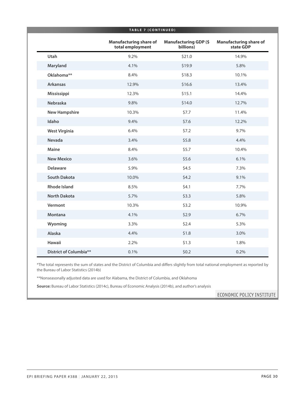|                               | <b>TABLE 7 (CONTINUED)</b>                        |                                           |                                            |
|-------------------------------|---------------------------------------------------|-------------------------------------------|--------------------------------------------|
|                               | <b>Manufacturing share of</b><br>total employment | <b>Manufacturing GDP (\$</b><br>billions) | <b>Manufacturing share of</b><br>state GDP |
| Utah                          | 9.2%                                              | \$21.0                                    | 14.9%                                      |
| Maryland                      | 4.1%                                              | \$19.9                                    | 5.8%                                       |
| Oklahoma**                    | 8.4%                                              | \$18.3                                    | 10.1%                                      |
| <b>Arkansas</b>               | 12.9%                                             | \$16.6                                    | 13.4%                                      |
| Mississippi                   | 12.3%                                             | \$15.1                                    | 14.4%                                      |
| Nebraska                      | 9.8%                                              | \$14.0                                    | 12.7%                                      |
| <b>New Hampshire</b>          | 10.3%                                             | \$7.7                                     | 11.4%                                      |
| Idaho                         | 9.4%                                              | \$7.6                                     | 12.2%                                      |
| <b>West Virginia</b>          | 6.4%                                              | \$7.2                                     | 9.7%                                       |
| Nevada                        | 3.4%                                              | \$5.8                                     | 4.4%                                       |
| Maine                         | 8.4%                                              | \$5.7                                     | 10.4%                                      |
| <b>New Mexico</b>             | 3.6%                                              | \$5.6                                     | 6.1%                                       |
| <b>Delaware</b>               | 5.9%                                              | \$4.5                                     | 7.3%                                       |
| <b>South Dakota</b>           | 10.0%                                             | \$4.2                                     | 9.1%                                       |
| <b>Rhode Island</b>           | 8.5%                                              | \$4.1                                     | 7.7%                                       |
| <b>North Dakota</b>           | 5.7%                                              | \$3.3                                     | 5.8%                                       |
| Vermont                       | 10.3%                                             | \$3.2                                     | 10.9%                                      |
| <b>Montana</b>                | 4.1%                                              | \$2.9                                     | 6.7%                                       |
| Wyoming                       | 3.3%                                              | \$2.4                                     | 5.3%                                       |
| Alaska                        | 4.4%                                              | \$1.8                                     | 3.0%                                       |
| <b>Hawaii</b>                 | 2.2%                                              | \$1.3                                     | 1.8%                                       |
| <b>District of Columbia**</b> | 0.1%                                              | \$0.2\$                                   | 0.2%                                       |

\*The total represents the sum of states and the District of Columbia and differs slightly from total national employment as reported by the Bureau of Labor Statistics (2014b)

\*\*Nonseasonally adjusted data are used for Alabama, the District of Columbia, and Oklahoma

**Source:** Bureau of Labor Statistics (2014c), Bureau of Economic Analysis (2014b), and author's analysis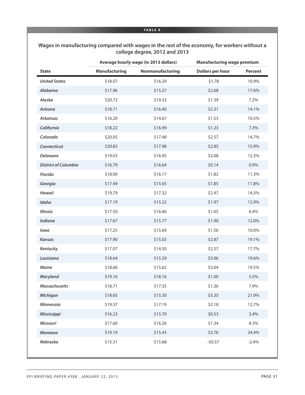#### **Wages in manufacturing compared with wages in the rest of the economy, for workers without a college degree, 2012 and 2013**

|                             | Average hourly wage (in 2013 dollars) |                  | <b>Manufacturing wage premium</b> |         |
|-----------------------------|---------------------------------------|------------------|-----------------------------------|---------|
| <b>State</b>                | <b>Manufacturing</b>                  | Nonmanufacturing | <b>Dollars per hour</b>           | Percent |
| <b>United States</b>        | \$18.07                               | \$16.29          | \$1.78                            | 10.9%   |
| Alabama                     | \$17.96                               | \$15.27          | \$2.68                            | 17.6%   |
| Alaska                      | \$20.72                               | \$19.33          | \$1.39                            | 7.2%    |
| Arizona                     | \$18.71                               | \$16.40          | \$2.31                            | 14.1%   |
| <b>Arkansas</b>             | \$16.20                               | \$14.67          | \$1.53                            | 10.5%   |
| California                  | \$18.22                               | \$16.99          | \$1.23                            | 7.3%    |
| Colorado                    | \$20.05                               | \$17.48          | \$2.57                            | 14.7%   |
| Connecticut                 | \$20.83                               | \$17.98          | \$2.85                            | 15.9%   |
| <b>Delaware</b>             | \$19.03                               | \$16.95          | \$2.08                            | 12.3%   |
| <b>District of Columbia</b> | \$16.79                               | \$16.64          | \$0.14                            | 0.9%    |
| Florida                     | \$18.00                               | \$16.17          | \$1.82                            | 11.3%   |
| Georgia                     | \$17.49                               | \$15.65          | \$1.85                            | 11.8%   |
| <b>Hawaii</b>               | \$19.79                               | \$17.32          | \$2.47                            | 14.3%   |
| Idaho                       | \$17.19                               | \$15.22          | \$1.97                            | 12.9%   |
| <b>Illinois</b>             | \$17.50                               | \$16.46          | \$1.05                            | 6.4%    |
| <b>Indiana</b>              | \$17.67                               | \$15.77          | \$1.90                            | 12.0%   |
| lowa                        | \$17.25                               | \$15.69          | \$1.56                            | 10.0%   |
| <b>Kansas</b>               | \$17.90                               | \$15.03          | \$2.87                            | 19.1%   |
| Kentucky                    | \$17.07                               | \$14.50          | \$2.57                            | 17.7%   |
| Louisiana                   | \$18.64                               | \$15.59          | \$3.06                            | 19.6%   |
| Maine                       | \$18.66                               | \$15.62          | \$3.04                            | 19.5%   |
| Maryland                    | \$19.16                               | \$18.16          | \$1.00                            | 5.5%    |
| <b>Massachusetts</b>        | \$18.71                               | \$17.35          | \$1.36                            | 7.9%    |
| Michigan                    | \$18.65                               | \$15.30          | \$3.35                            | 21.9%   |
| Minnesota                   | \$19.37                               | \$17.19          | \$2.18                            | 12.7%   |
| Mississippi                 | \$16.23                               | \$15.70          | \$0.53                            | 3.4%    |
| Missouri                    | \$17.60                               | \$16.26          | \$1.34                            | 8.3%    |
| <b>Montana</b>              | \$19.19                               | \$15.43          | \$3.76                            | 24.4%   |
| Nebraska                    | \$15.31                               | \$15.68          | $-50.37$                          | $-2.4%$ |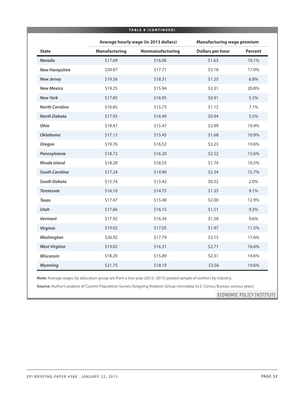| <b>TABLE 8 (CONTINUED)</b> |                      |                                       |                                   |                |
|----------------------------|----------------------|---------------------------------------|-----------------------------------|----------------|
|                            |                      | Average hourly wage (in 2013 dollars) | <b>Manufacturing wage premium</b> |                |
| <b>State</b>               | <b>Manufacturing</b> | Nonmanufacturing                      | <b>Dollars per hour</b>           | <b>Percent</b> |
| <b>Nevada</b>              | \$17.69              | \$16.06                               | \$1.63                            | 10.1%          |
| <b>New Hampshire</b>       | \$20.87              | \$17.71                               | \$3.16                            | 17.9%          |
| <b>New Jersey</b>          | \$19.56              | \$18.31                               | \$1.25                            | 6.8%           |
| <b>New Mexico</b>          | \$19.25              | \$15.94                               | \$3.31                            | 20.8%          |
| <b>New York</b>            | \$17.85              | \$16.95                               | \$0.91                            | 5.3%           |
| <b>North Carolina</b>      | \$16.85              | \$15.73                               | \$1.12                            | 7.1%           |
| <b>North Dakota</b>        | \$17.93              | \$16.99                               | \$0.94                            | 5.5%           |
| Ohio                       | \$18.47              | \$15.47                               | \$2.99                            | 19.4%          |
| <b>Oklahoma</b>            | \$17.13              | \$15.45                               | \$1.68                            | 10.9%          |
| Oregon                     | \$19.76              | \$16.52                               | \$3.23                            | 19.6%          |
| Pennsylvania               | \$18.72              | \$16.20                               | \$2.52                            | 15.6%          |
| <b>Rhode Island</b>        | \$18.28              | \$16.55                               | \$1.74                            | 10.5%          |
| <b>South Carolina</b>      | \$17.24              | \$14.90                               | \$2.34                            | 15.7%          |
| South Dakota               | \$15.74              | \$15.42                               | \$0.32                            | 2.0%           |
| <b>Tennessee</b>           | \$16.10              | \$14.75                               | \$1.35                            | 9.1%           |
| <b>Texas</b>               | \$17.47              | \$15.48                               | \$2.00                            | 12.9%          |
| Utah                       | \$17.66              | \$16.15                               | \$1.51                            | 9.3%           |
| Vermont                    | \$17.92              | \$16.34                               | \$1.58                            | 9.6%           |
| Virginia                   | \$19.02              | \$17.05                               | \$1.97                            | 11.5%          |
| Washington                 | \$20.92              | \$17.79                               | \$3.13                            | 17.6%          |
| <b>West Virginia</b>       | \$19.02              | \$16.31                               | \$2.71                            | 16.6%          |
| Wisconsin                  | \$18.20              | \$15.89                               | \$2.31                            | 14.6%          |
| Wyoming                    | \$21.75              | \$18.19                               | \$3.56                            | 19.6%          |

**Note:** Average wages by education group are from a two-year (2012–2013) pooled sample of workers by industry.

**Source:** Author's analysis of Current Population Survey Outgoing Rotation Group microdata (U.S. Census Bureau, various years)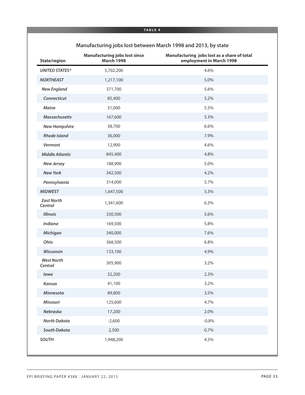| State/region                 | <b>Manufacturing jobs lost since</b><br><b>March 1998</b> | Manufacturing jobs lost as a share of total<br>employment in March 1998 |
|------------------------------|-----------------------------------------------------------|-------------------------------------------------------------------------|
| <b>UNITED STATES*</b>        | 5,702,200                                                 | 4.6%                                                                    |
| <b>NORTHEAST</b>             | 1,217,100                                                 | 5.0%                                                                    |
| <b>New England</b>           | 371,700                                                   | 5.6%                                                                    |
| Connecticut                  | 85,400                                                    | 5.2%                                                                    |
| Maine                        | 31,000                                                    | 5.5%                                                                    |
| <b>Massachusetts</b>         | 167,600                                                   | 5.3%                                                                    |
| <b>New Hampshire</b>         | 38,700                                                    | 6.6%                                                                    |
| <b>Rhode Island</b>          | 36,000                                                    | 7.9%                                                                    |
| Vermont                      | 12,900                                                    | 4.6%                                                                    |
| <b>Middle Atlantic</b>       | 845,400                                                   | 4.8%                                                                    |
| <b>New Jersey</b>            | 188,900                                                   | 5.0%                                                                    |
| <b>New York</b>              | 342,500                                                   | 4.2%                                                                    |
| Pennsylvania                 | 314,000                                                   | 5.7%                                                                    |
| <b>MIDWEST</b>               | 1,647,500                                                 | 5.3%                                                                    |
| <b>East North</b><br>Central | 1,341,600                                                 | 6.3%                                                                    |
| <b>Illinois</b>              | 330,500                                                   | 5.6%                                                                    |
| Indiana                      | 169,500                                                   | 5.8%                                                                    |
| Michigan                     | 340,000                                                   | 7.6%                                                                    |
| Ohio                         | 368,500                                                   | 6.8%                                                                    |
| Wisconsin                    | 133,100                                                   | 4.9%                                                                    |
| <b>West North</b><br>Central | 305,900                                                   | 3.2%                                                                    |
| lowa                         | 32,200                                                    | 2.3%                                                                    |
| Kansas                       | 41,100                                                    | 3.2%                                                                    |
| Minnesota                    | 89,800                                                    | 3.5%                                                                    |
| Missouri                     | 125,600                                                   | 4.7%                                                                    |
| Nebraska                     | 17,200                                                    | 2.0%                                                                    |
| <b>North Dakota</b>          | $-2,600$                                                  | $-0.8%$                                                                 |
| South Dakota                 | 2,500                                                     | 0.7%                                                                    |
| <b>SOUTH</b>                 | 1,948,200                                                 | 4.5%                                                                    |

### **Manufacturing jobs lost between March 1998 and 2013, by state**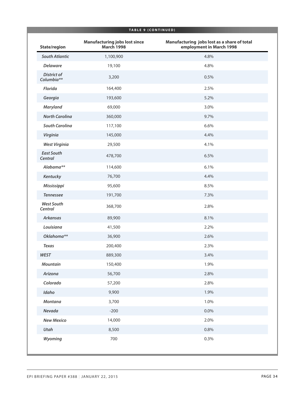| TABLE 9 (CONTINUED)              |                                                           |                                                                         |
|----------------------------------|-----------------------------------------------------------|-------------------------------------------------------------------------|
| State/region                     | <b>Manufacturing jobs lost since</b><br><b>March 1998</b> | Manufacturing jobs lost as a share of total<br>employment in March 1998 |
| <b>South Atlantic</b>            | 1,100,900                                                 | 4.8%                                                                    |
| <b>Delaware</b>                  | 19,100                                                    | 4.8%                                                                    |
| <b>District of</b><br>Columbia** | 3,200                                                     | 0.5%                                                                    |
| Florida                          | 164,400                                                   | 2.5%                                                                    |
| Georgia                          | 193,600                                                   | 5.2%                                                                    |
| Maryland                         | 69,000                                                    | 3.0%                                                                    |
| <b>North Carolina</b>            | 360,000                                                   | 9.7%                                                                    |
| <b>South Carolina</b>            | 117,100                                                   | 6.6%                                                                    |
| Virginia                         | 145,000                                                   | 4.4%                                                                    |
| <b>West Virginia</b>             | 29,500                                                    | 4.1%                                                                    |
| <b>East South</b><br>Central     | 478,700                                                   | 6.5%                                                                    |
| Alabama**                        | 114,600                                                   | 6.1%                                                                    |
| Kentucky                         | 76,700                                                    | 4.4%                                                                    |
| Mississippi                      | 95,600                                                    | 8.5%                                                                    |
| <b>Tennessee</b>                 | 191,700                                                   | 7.3%                                                                    |
| <b>West South</b><br>Central     | 368,700                                                   | 2.8%                                                                    |
| <b>Arkansas</b>                  | 89,900                                                    | 8.1%                                                                    |
| Louisiana                        | 41,500                                                    | 2.2%                                                                    |
| Oklahoma**                       | 36,900                                                    | 2.6%                                                                    |
| <b>Texas</b>                     | 200,400                                                   | 2.3%                                                                    |
| <b>WEST</b>                      | 889,300                                                   | 3.4%                                                                    |
| <b>Mountain</b>                  | 150,400                                                   | 1.9%                                                                    |
| Arizona                          | 56,700                                                    | 2.8%                                                                    |
| Colorado                         | 57,200                                                    | 2.8%                                                                    |
| Idaho                            | 9,900                                                     | 1.9%                                                                    |
| <b>Montana</b>                   | 3,700                                                     | 1.0%                                                                    |
| Nevada                           | $-200$                                                    | $0.0\%$                                                                 |
| <b>New Mexico</b>                | 14,000                                                    | 2.0%                                                                    |
| Utah                             | 8,500                                                     | 0.8%                                                                    |
| Wyoming                          | 700                                                       | 0.3%                                                                    |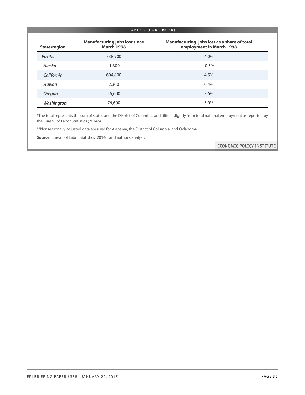#### **TABLE 9 ( C ONTINUED )**

| State/region   | <b>Manufacturing jobs lost since</b><br><b>March 1998</b> | Manufacturing jobs lost as a share of total<br>employment in March 1998 |
|----------------|-----------------------------------------------------------|-------------------------------------------------------------------------|
| <b>Pacific</b> | 738,900                                                   | 4.0%                                                                    |
| Alaska         | $-1,300$                                                  | $-0.5%$                                                                 |
| California     | 604,800                                                   | 4.5%                                                                    |
| Hawaii         | 2,300                                                     | 0.4%                                                                    |
| Oregon         | 56,600                                                    | 3.6%                                                                    |
| Washington     | 76,600                                                    | 3.0%                                                                    |

\*The total represents the sum of states and the District of Columbia, and differs slightly from total national employment as reported by the Bureau of Labor Statistics (2014b)

\*\*Nonseasonally adjusted data are used for Alabama, the District of Columbia, and Oklahoma

**Source:** Bureau of Labor Statistics (2014c) and author's analysis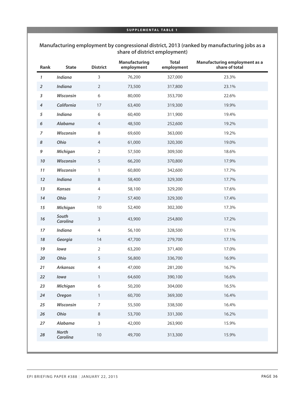#### **Manufacturing employment by congressional district, 2013 (ranked by manufacturing jobs as a share of district employment)**

| Rank                      | <b>State</b>             | <b>District</b>  | <b>Manufacturing</b><br>employment | <b>Total</b><br>employment | <b>Manufacturing employment as a</b><br>share of total |
|---------------------------|--------------------------|------------------|------------------------------------|----------------------------|--------------------------------------------------------|
| 1                         | <b>Indiana</b>           | $\mathsf 3$      | 76,200                             | 327,000                    | 23.3%                                                  |
| $\overline{2}$            | Indiana                  | $\overline{2}$   | 73,500                             | 317,800                    | 23.1%                                                  |
| $\boldsymbol{\mathsf{3}}$ | Wisconsin                | $\sqrt{6}$       | 80,000                             | 353,700                    | 22.6%                                                  |
| $\pmb{4}$                 | California               | 17               | 63,400                             | 319,300                    | 19.9%                                                  |
| 5                         | Indiana                  | $\sqrt{6}$       | 60,400                             | 311,900                    | 19.4%                                                  |
| 6                         | Alabama                  | $\overline{4}$   | 48,500                             | 252,600                    | 19.2%                                                  |
| $\overline{z}$            | Wisconsin                | $\,8\,$          | 69,600                             | 363,000                    | 19.2%                                                  |
| $\pmb{8}$                 | Ohio                     | $\overline{4}$   | 61,000                             | 320,300                    | 19.0%                                                  |
| 9                         | Michigan                 | 2                | 57,500                             | 309,500                    | 18.6%                                                  |
| $10\,$                    | Wisconsin                | 5                | 66,200                             | 370,800                    | 17.9%                                                  |
| 11                        | Wisconsin                | $\mathbf{1}$     | 60,800                             | 342,600                    | 17.7%                                                  |
| 12                        | Indiana                  | $\,8\,$          | 58,400                             | 329,300                    | 17.7%                                                  |
| 13                        | <b>Kansas</b>            | $\overline{4}$   | 58,100                             | 329,200                    | 17.6%                                                  |
| 14                        | Ohio                     | 7                | 57,400                             | 329,300                    | 17.4%                                                  |
| 15                        | Michigan                 | 10               | 52,400                             | 302,300                    | 17.3%                                                  |
| 16                        | South<br>Carolina        | $\mathsf 3$      | 43,900                             | 254,800                    | 17.2%                                                  |
| 17                        | Indiana                  | $\overline{4}$   | 56,100                             | 328,500                    | 17.1%                                                  |
| 18                        | Georgia                  | 14               | 47,700                             | 279,700                    | 17.1%                                                  |
| 19                        | lowa                     | $\overline{2}$   | 63,200                             | 371,400                    | 17.0%                                                  |
| 20                        | Ohio                     | 5                | 56,800                             | 336,700                    | 16.9%                                                  |
| 21                        | <b>Arkansas</b>          | $\overline{4}$   | 47,000                             | 281,200                    | 16.7%                                                  |
| 22                        | lowa                     | 1                | 64,600                             | 390,100                    | 16.6%                                                  |
| 23                        | Michigan                 | 6                | 50,200                             | 304,000                    | 16.5%                                                  |
| 24                        | <b>Oregon</b>            | $\mathbf{1}$     | 60,700                             | 369,300                    | 16.4%                                                  |
| 25                        | Wisconsin                | $\boldsymbol{7}$ | 55,500                             | 338,500                    | 16.4%                                                  |
| $26\,$                    | Ohio                     | $\,8\,$          | 53,700                             | 331,300                    | 16.2%                                                  |
| 27                        | Alabama                  | $\mathsf{3}$     | 42,000                             | 263,900                    | 15.9%                                                  |
| 28                        | <b>North</b><br>Carolina | $10$             | 49,700                             | 313,300                    | 15.9%                                                  |
|                           |                          |                  |                                    |                            |                                                        |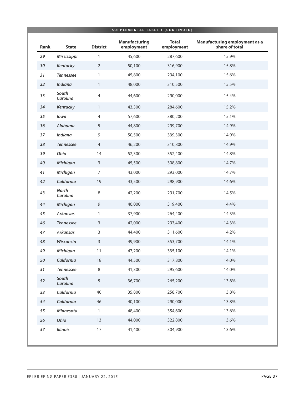|             |                          |                 | SUPPLEMENTAL TABLE 1 (CONTINUED)   |                            |                                                        |
|-------------|--------------------------|-----------------|------------------------------------|----------------------------|--------------------------------------------------------|
| <b>Rank</b> | <b>State</b>             | <b>District</b> | <b>Manufacturing</b><br>employment | <b>Total</b><br>employment | <b>Manufacturing employment as a</b><br>share of total |
| 29          | Mississippi              | 1               | 45,600                             | 287,600                    | 15.9%                                                  |
| 30          | Kentucky                 | $\overline{2}$  | 50,100                             | 316,900                    | 15.8%                                                  |
| 31          | <b>Tennessee</b>         | 1               | 45,800                             | 294,100                    | 15.6%                                                  |
| 32          | Indiana                  | $\mathbf{1}$    | 48,000                             | 310,500                    | 15.5%                                                  |
| 33          | South<br>Carolina        | 4               | 44,600                             | 290,000                    | 15.4%                                                  |
| 34          | Kentucky                 | $\mathbf{1}$    | 43,300                             | 284,600                    | 15.2%                                                  |
| 35          | lowa                     | $\overline{4}$  | 57,600                             | 380,200                    | 15.1%                                                  |
| 36          | Alabama                  | 5               | 44,800                             | 299,700                    | 14.9%                                                  |
| 37          | Indiana                  | $\mathsf 9$     | 50,500                             | 339,300                    | 14.9%                                                  |
| 38          | <b>Tennessee</b>         | $\overline{4}$  | 46,200                             | 310,800                    | 14.9%                                                  |
| 39          | Ohio                     | 14              | 52,300                             | 352,400                    | 14.8%                                                  |
| $40\,$      | Michigan                 | $\overline{3}$  | 45,500                             | 308,800                    | 14.7%                                                  |
| 41          | Michigan                 | $\overline{7}$  | 43,000                             | 293,000                    | 14.7%                                                  |
| 42          | California               | 19              | 43,500                             | 298,900                    | 14.6%                                                  |
| 43          | <b>North</b><br>Carolina | 8               | 42,200                             | 291,700                    | 14.5%                                                  |
| 44          | Michigan                 | $\mathsf 9$     | 46,000                             | 319,400                    | 14.4%                                                  |
| 45          | <b>Arkansas</b>          | $\mathbf{1}$    | 37,900                             | 264,400                    | 14.3%                                                  |
| 46          | <b>Tennessee</b>         | $\mathsf{3}$    | 42,000                             | 293,400                    | 14.3%                                                  |
| 47          | <b>Arkansas</b>          | 3               | 44,400                             | 311,600                    | 14.2%                                                  |
| 48          | Wisconsin                | $\mathsf{3}$    | 49,900                             | 353,700                    | 14.1%                                                  |
| 49          | Michigan                 | 11              | 47,200                             | 335,100                    | 14.1%                                                  |
| 50          | California               | 18              | 44,500                             | 317,800                    | 14.0%                                                  |
| 51          | <b>Tennessee</b>         | 8               | 41,300                             | 295,600                    | 14.0%                                                  |
| 52          | South<br>Carolina        | 5               | 36,700                             | 265,200                    | 13.8%                                                  |
| 53          | California               | 40              | 35,800                             | 258,700                    | 13.8%                                                  |
| 54          | California               | 46              | 40,100                             | 290,000                    | 13.8%                                                  |
| 55          | Minnesota                | $\mathbf{1}$    | 48,400                             | 354,600                    | 13.6%                                                  |
| 56          | Ohio                     | 13              | 44,000                             | 322,800                    | 13.6%                                                  |
| 57          | <b>Illinois</b>          | $17\,$          | 41,400                             | 304,900                    | 13.6%                                                  |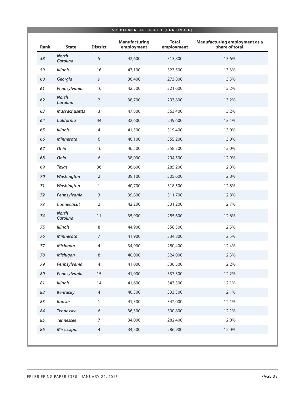| Rank   | <b>State</b>             | <b>District</b>  | <b>Manufacturing</b><br>employment | <b>Total</b><br>employment | <b>Manufacturing employment as a</b><br>share of total |
|--------|--------------------------|------------------|------------------------------------|----------------------------|--------------------------------------------------------|
| 58     | <b>North</b><br>Carolina | 5                | 42,600                             | 313,800                    | 13.6%                                                  |
| 59     | <b>Illinois</b>          | 16               | 43,100                             | 323,500                    | 13.3%                                                  |
| 60     | Georgia                  | $\mathsf 9$      | 36,400                             | 273,800                    | 13.3%                                                  |
| 61     | Pennsylvania             | 16               | 42,500                             | 321,600                    | 13.2%                                                  |
| 62     | <b>North</b><br>Carolina | $\overline{2}$   | 38,700                             | 293,800                    | 13.2%                                                  |
| 63     | <b>Massachusetts</b>     | $\mathsf{3}$     | 47,800                             | 363,400                    | 13.2%                                                  |
| 64     | California               | 44               | 32,600                             | 249,600                    | 13.1%                                                  |
| 65     | <b>Illinois</b>          | $\overline{4}$   | 41,500                             | 319,400                    | 13.0%                                                  |
| 66     | Minnesota                | 6                | 46,100                             | 355,200                    | 13.0%                                                  |
| 67     | Ohio                     | 16               | 46,500                             | 358,300                    | 13.0%                                                  |
| 68     | Ohio                     | 6                | 38,000                             | 294,500                    | 12.9%                                                  |
| 69     | <b>Texas</b>             | 36               | 36,600                             | 285,200                    | 12.8%                                                  |
| $70\,$ | Washington               | $\overline{2}$   | 39,100                             | 305,600                    | 12.8%                                                  |
| $71$   | Washington               | $\mathbf{1}$     | 40,700                             | 318,500                    | 12.8%                                                  |
| 72     | Pennsylvania             | $\mathsf{3}$     | 39,800                             | 311,700                    | 12.8%                                                  |
| 73     | Connecticut              | $\overline{2}$   | 42,200                             | 331,200                    | 12.7%                                                  |
| 74     | <b>North</b><br>Carolina | 11               | 35,900                             | 285,600                    | 12.6%                                                  |
| 75     | <b>Illinois</b>          | $\,8\,$          | 44,900                             | 358,300                    | 12.5%                                                  |
| 76     | <b>Minnesota</b>         | $\overline{7}$   | 41,900                             | 334,800                    | 12.5%                                                  |
| 77     | Michigan                 | $\overline{4}$   | 34,900                             | 280,400                    | 12.4%                                                  |
| 78     | Michigan                 | $\,8\,$          | 40,000                             | 324,000                    | 12.3%                                                  |
| 79     | Pennsylvania             | $\overline{4}$   | 41,000                             | 336,500                    | 12.2%                                                  |
| 80     | Pennsylvania             | 15               | 41,000                             | 337,300                    | 12.2%                                                  |
| 81     | <b>Illinois</b>          | 14               | 41,600                             | 343,300                    | 12.1%                                                  |
| 82     | Kentucky                 | $\overline{4}$   | 40,300                             | 333,300                    | 12.1%                                                  |
| 83     | Kansas                   | 1                | 41,300                             | 342,000                    | 12.1%                                                  |
| 84     | <b>Tennessee</b>         | 6                | 36,300                             | 300,800                    | 12.1%                                                  |
| 85     | <b>Tennessee</b>         | $\boldsymbol{7}$ | 34,000                             | 282,400                    | 12.0%                                                  |
| 86     | Mississippi              | $\overline{4}$   | 34,500                             | 286,900                    | 12.0%                                                  |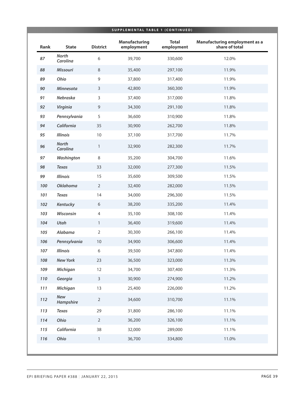|      |                          |                 | <b>Manufacturing</b> | <b>Total</b> | <b>Manufacturing employment as a</b> |
|------|--------------------------|-----------------|----------------------|--------------|--------------------------------------|
| Rank | <b>State</b>             | <b>District</b> | employment           | employment   | share of total                       |
| 87   | <b>North</b><br>Carolina | 6               | 39,700               | 330,600      | 12.0%                                |
| 88   | Missouri                 | 8               | 35,400               | 297,100      | 11.9%                                |
| 89   | Ohio                     | $\mathsf 9$     | 37,800               | 317,400      | 11.9%                                |
| 90   | Minnesota                | $\mathsf{3}$    | 42,800               | 360,300      | 11.9%                                |
| 91   | Nebraska                 | $\mathsf{3}$    | 37,400               | 317,000      | 11.8%                                |
| 92   | Virginia                 | $\overline{9}$  | 34,300               | 291,100      | 11.8%                                |
| 93   | Pennsylvania             | 5               | 36,600               | 310,900      | 11.8%                                |
| 94   | California               | 35              | 30,900               | 262,700      | 11.8%                                |
| 95   | <b>Illinois</b>          | $10$            | 37,100               | 317,700      | 11.7%                                |
| 96   | <b>North</b><br>Carolina | $\mathbf{1}$    | 32,900               | 282,300      | 11.7%                                |
| 97   | Washington               | 8               | 35,200               | 304,700      | 11.6%                                |
| 98   | <b>Texas</b>             | 33              | 32,000               | 277,300      | 11.5%                                |
| 99   | <b>Illinois</b>          | 15              | 35,600               | 309,500      | 11.5%                                |
| 100  | <b>Oklahoma</b>          | $\overline{2}$  | 32,400               | 282,000      | 11.5%                                |
| 101  | <b>Texas</b>             | 14              | 34,000               | 296,300      | 11.5%                                |
| 102  | Kentucky                 | $6\,$           | 38,200               | 335,200      | 11.4%                                |
| 103  | Wisconsin                | $\overline{4}$  | 35,100               | 308,100      | 11.4%                                |
| 104  | Utah                     | $\mathbf{1}$    | 36,400               | 319,600      | 11.4%                                |
| 105  | Alabama                  | $\overline{2}$  | 30,300               | 266,100      | 11.4%                                |
| 106  | Pennsylvania             | 10              | 34,900               | 306,600      | 11.4%                                |
| 107  | <b>Illinois</b>          | 6               | 39,500               | 347,800      | 11.4%                                |
| 108  | <b>New York</b>          | 23              | 36,500               | 323,000      | 11.3%                                |
| 109  | <b>Michigan</b>          | 12              | 34,700               | 307,400      | 11.3%                                |
| 110  | Georgia                  | $\mathsf{3}$    | 30,900               | 274,900      | 11.2%                                |
| 111  | <b>Michigan</b>          | 13              | 25,400               | 226,000      | 11.2%                                |
| 112  | New<br>Hampshire         | $\overline{2}$  | 34,600               | 310,700      | 11.1%                                |
| 113  | <b>Texas</b>             | 29              | 31,800               | 286,100      | 11.1%                                |
| 114  | Ohio                     | $\overline{2}$  | 36,200               | 326,100      | 11.1%                                |
| 115  | California               | 38              | 32,000               | 289,000      | 11.1%                                |
| 116  | Ohio                     | $\mathbf{1}$    | 36,700               | 334,800      | 11.0%                                |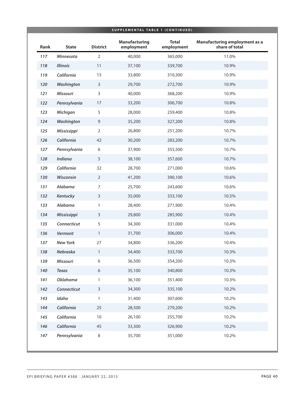|      |                 |                 | SUPPLEMENTAL TABLE 1 (CONTINUED)<br><b>Manufacturing</b> | <b>Total</b> | Manufacturing employment as a |
|------|-----------------|-----------------|----------------------------------------------------------|--------------|-------------------------------|
| Rank | <b>State</b>    | <b>District</b> | employment                                               | employment   | share of total                |
| 117  | Minnesota       | $\overline{2}$  | 40,000                                                   | 365,000      | 11.0%                         |
| 118  | <b>Illinois</b> | 11              | 37,100                                                   | 339,700      | 10.9%                         |
| 119  | California      | 15              | 33,800                                                   | 310,300      | 10.9%                         |
| 120  | Washington      | $\mathsf{3}$    | 29,700                                                   | 272,700      | 10.9%                         |
| 121  | <b>Missouri</b> | $\mathsf{3}$    | 40,000                                                   | 368,200      | 10.9%                         |
| 122  | Pennsylvania    | 17              | 33,200                                                   | 306,700      | 10.8%                         |
| 123  | <b>Michigan</b> | 5               | 28,000                                                   | 259,400      | 10.8%                         |
| 124  | Washington      | $\mathsf 9$     | 35,200                                                   | 327,200      | 10.8%                         |
| 125  | Mississippi     | $\overline{2}$  | 26,800                                                   | 251,200      | 10.7%                         |
| 126  | California      | 42              | 30,200                                                   | 283,200      | 10.7%                         |
| 127  | Pennsylvania    | 6               | 37,900                                                   | 355,500      | 10.7%                         |
| 128  | <b>Indiana</b>  | 5               | 38,100                                                   | 357,600      | 10.7%                         |
| 129  | California      | 32              | 28,700                                                   | 271,000      | 10.6%                         |
| 130  | Wisconsin       | $\overline{2}$  | 41,200                                                   | 390,100      | 10.6%                         |
| 131  | Alabama         | $\overline{7}$  | 25,700                                                   | 243,600      | 10.6%                         |
| 132  | Kentucky        | $\mathsf{3}$    | 35,000                                                   | 333,100      | 10.5%                         |
| 133  | Alabama         | 1               | 28,400                                                   | 271,900      | 10.4%                         |
| 134  | Mississippi     | $\mathsf{3}$    | 29,800                                                   | 285,900      | 10.4%                         |
| 135  | Connecticut     | 5               | 34,300                                                   | 331,000      | 10.4%                         |
| 136  | Vermont         | $\mathbf{1}$    | 31,700                                                   | 306,000      | 10.4%                         |
| 137  | <b>New York</b> | 27              | 34,800                                                   | 336,200      | 10.4%                         |
| 138  | Nebraska        | $\mathbf{1}$    | 34,400                                                   | 333,700      | 10.3%                         |
| 139  | <b>Missouri</b> | 6               | 36,500                                                   | 354,200      | 10.3%                         |
| 140  | <b>Texas</b>    | 6               | 35,100                                                   | 340,800      | 10.3%                         |
| 141  | <b>Oklahoma</b> | 1               | 36,100                                                   | 351,400      | 10.3%                         |
| 142  | Connecticut     | 3               | 34,300                                                   | 335,100      | 10.2%                         |
| 143  | Idaho           | 1               | 31,400                                                   | 307,600      | 10.2%                         |
| 144  | California      | 25              | 28,500                                                   | 279,200      | 10.2%                         |
| 145  | California      | $10\,$          | 26,100                                                   | 255,700      | 10.2%                         |
| 146  | California      | 45              | 33,300                                                   | 326,900      | 10.2%                         |
| 147  | Pennsylvania    | 8               | 35,700                                                   | 351,000      | 10.2%                         |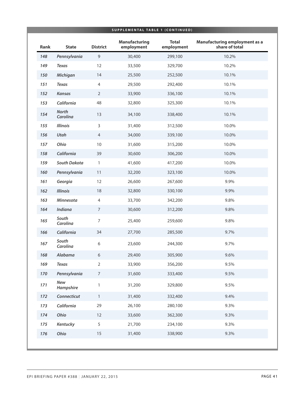|      |                          |                 | SUPPLEMENTAL TABLE 1 (CONTINUED)<br><b>Manufacturing</b> | <b>Total</b> | <b>Manufacturing employment as a</b> |
|------|--------------------------|-----------------|----------------------------------------------------------|--------------|--------------------------------------|
| Rank | <b>State</b>             | <b>District</b> | employment                                               | employment   | share of total                       |
| 148  | Pennsylvania             | 9               | 30,400                                                   | 299,100      | 10.2%                                |
| 149  | <b>Texas</b>             | 12              | 33,500                                                   | 329,700      | 10.2%                                |
| 150  | <b>Michigan</b>          | 14              | 25,500                                                   | 252,500      | 10.1%                                |
| 151  | <b>Texas</b>             | $\overline{4}$  | 29,500                                                   | 292,400      | 10.1%                                |
| 152  | <b>Kansas</b>            | $\overline{2}$  | 33,900                                                   | 336,100      | 10.1%                                |
| 153  | California               | 48              | 32,800                                                   | 325,300      | 10.1%                                |
| 154  | <b>North</b><br>Carolina | 13              | 34,100                                                   | 338,400      | 10.1%                                |
| 155  | <b>Illinois</b>          | $\mathsf{3}$    | 31,400                                                   | 312,500      | 10.0%                                |
| 156  | Utah                     | $\overline{4}$  | 34,000                                                   | 339,100      | 10.0%                                |
| 157  | Ohio                     | 10              | 31,600                                                   | 315,200      | 10.0%                                |
| 158  | California               | 39              | 30,600                                                   | 306,200      | 10.0%                                |
| 159  | South Dakota             | $\mathbf{1}$    | 41,600                                                   | 417,200      | 10.0%                                |
| 160  | Pennsylvania             | 11              | 32,200                                                   | 323,100      | 10.0%                                |
| 161  | Georgia                  | 12              | 26,600                                                   | 267,600      | 9.9%                                 |
| 162  | <b>Illinois</b>          | 18              | 32,800                                                   | 330,100      | 9.9%                                 |
| 163  | Minnesota                | $\overline{4}$  | 33,700                                                   | 342,200      | 9.8%                                 |
| 164  | <b>Indiana</b>           | $\overline{7}$  | 30,600                                                   | 312,200      | 9.8%                                 |
| 165  | South<br>Carolina        | $\overline{7}$  | 25,400                                                   | 259,600      | 9.8%                                 |
| 166  | California               | 34              | 27,700                                                   | 285,500      | 9.7%                                 |
| 167  | South<br>Carolina        | 6               | 23,600                                                   | 244,300      | 9.7%                                 |
| 168  | Alabama                  | $\sqrt{6}$      | 29,400                                                   | 305,900      | 9.6%                                 |
| 169  | <b>Texas</b>             | $\overline{2}$  | 33,900                                                   | 356,200      | 9.5%                                 |
| 170  | Pennsylvania             | $\overline{7}$  | 31,600                                                   | 333,400      | 9.5%                                 |
| 171  | New<br>Hampshire         | $\mathbf{1}$    | 31,200                                                   | 329,800      | 9.5%                                 |
| 172  | Connecticut              | $\mathbf{1}$    | 31,400                                                   | 332,400      | 9.4%                                 |
| 173  | California               | 29              | 26,100                                                   | 280,100      | 9.3%                                 |
| 174  | Ohio                     | 12              | 33,600                                                   | 362,300      | 9.3%                                 |
| 175  | Kentucky                 | 5               | 21,700                                                   | 234,100      | 9.3%                                 |
| 176  | Ohio                     | 15              | 31,400                                                   | 338,900      | 9.3%                                 |
|      |                          |                 |                                                          |              |                                      |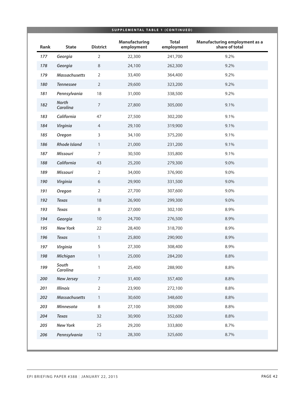| Rank | <b>State</b>             | <b>District</b>  | <b>Manufacturing</b><br>employment | <b>Total</b><br>employment | <b>Manufacturing employment as a</b><br>share of total |
|------|--------------------------|------------------|------------------------------------|----------------------------|--------------------------------------------------------|
|      |                          |                  |                                    |                            |                                                        |
| 177  | Georgia                  | $\overline{2}$   | 22,300                             | 241,700                    | 9.2%                                                   |
| 178  | Georgia                  | $\,8\,$          | 24,100                             | 262,300                    | 9.2%                                                   |
| 179  | <b>Massachusetts</b>     | $\overline{2}$   | 33,400                             | 364,400                    | 9.2%                                                   |
| 180  | <b>Tennessee</b>         | $\overline{2}$   | 29,600                             | 323,200                    | 9.2%                                                   |
| 181  | Pennsylvania             | 18               | 31,000                             | 338,500                    | 9.2%                                                   |
| 182  | <b>North</b><br>Carolina | $\overline{7}$   | 27,800                             | 305,000                    | 9.1%                                                   |
| 183  | California               | 47               | 27,500                             | 302,200                    | 9.1%                                                   |
| 184  | Virginia                 | $\overline{4}$   | 29,100                             | 319,900                    | 9.1%                                                   |
| 185  | Oregon                   | 3                | 34,100                             | 375,200                    | 9.1%                                                   |
| 186  | <b>Rhode Island</b>      | $\mathbf{1}$     | 21,000                             | 231,200                    | 9.1%                                                   |
| 187  | <b>Missouri</b>          | $\overline{7}$   | 30,500                             | 335,800                    | 9.1%                                                   |
| 188  | California               | 43               | 25,200                             | 279,300                    | 9.0%                                                   |
| 189  | <b>Missouri</b>          | $\overline{2}$   | 34,000                             | 376,900                    | 9.0%                                                   |
| 190  | Virginia                 | 6                | 29,900                             | 331,500                    | 9.0%                                                   |
| 191  | Oregon                   | $\overline{2}$   | 27,700                             | 307,600                    | 9.0%                                                   |
| 192  | <b>Texas</b>             | 18               | 26,900                             | 299,300                    | 9.0%                                                   |
| 193  | <b>Texas</b>             | 8                | 27,000                             | 302,100                    | 8.9%                                                   |
| 194  | Georgia                  | $10\,$           | 24,700                             | 276,500                    | 8.9%                                                   |
| 195  | <b>New York</b>          | 22               | 28,400                             | 318,700                    | 8.9%                                                   |
| 196  | <b>Texas</b>             | $\mathbf{1}$     | 25,800                             | 290,900                    | 8.9%                                                   |
| 197  | Virginia                 | 5                | 27,300                             | 308,400                    | 8.9%                                                   |
| 198  | Michigan                 | 1                | 25,000                             | 284,200                    | 8.8%                                                   |
| 199  | South<br>Carolina        | $\mathbf{1}$     | 25,400                             | 288,900                    | 8.8%                                                   |
| 200  | <b>New Jersey</b>        | $\boldsymbol{7}$ | 31,400                             | 357,400                    | 8.8%                                                   |
| 201  | <b>Illinois</b>          | $\overline{2}$   | 23,900                             | 272,100                    | 8.8%                                                   |
| 202  | <b>Massachusetts</b>     | $\mathbf{1}$     | 30,600                             | 348,600                    | 8.8%                                                   |
| 203  | Minnesota                | $\,8\,$          | 27,100                             | 309,000                    | 8.8%                                                   |
| 204  | <b>Texas</b>             | 32               | 30,900                             | 352,600                    | 8.8%                                                   |
| 205  | <b>New York</b>          | 25               | 29,200                             | 333,800                    | 8.7%                                                   |
| 206  | Pennsylvania             | 12               | 28,300                             | 325,600                    | 8.7%                                                   |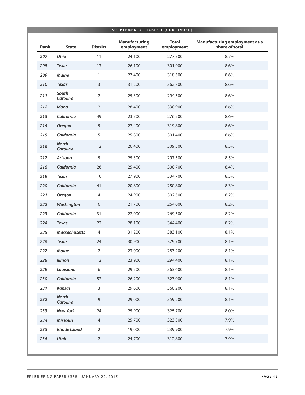|      |                          |                  | <b>Manufacturing</b> | <b>Total</b> | Manufacturing employment as a |
|------|--------------------------|------------------|----------------------|--------------|-------------------------------|
| Rank | <b>State</b>             | <b>District</b>  | employment           | employment   | share of total                |
| 207  | Ohio                     | 11               | 24,100               | 277,300      | 8.7%                          |
| 208  | <b>Texas</b>             | 13               | 26,100               | 301,900      | 8.6%                          |
| 209  | Maine                    | $\mathbf{1}$     | 27,400               | 318,500      | 8.6%                          |
| 210  | <b>Texas</b>             | $\mathsf{3}$     | 31,200               | 362,700      | 8.6%                          |
| 211  | South<br>Carolina        | $\sqrt{2}$       | 25,300               | 294,500      | 8.6%                          |
| 212  | Idaho                    | $\overline{2}$   | 28,400               | 330,900      | 8.6%                          |
| 213  | California               | 49               | 23,700               | 276,500      | 8.6%                          |
| 214  | Oregon                   | 5                | 27,400               | 319,800      | 8.6%                          |
| 215  | California               | 5                | 25,800               | 301,400      | 8.6%                          |
| 216  | <b>North</b><br>Carolina | 12               | 26,400               | 309,300      | 8.5%                          |
| 217  | Arizona                  | 5                | 25,300               | 297,500      | 8.5%                          |
| 218  | California               | 26               | 25,400               | 300,700      | 8.4%                          |
| 219  | <b>Texas</b>             | $10\,$           | 27,900               | 334,700      | 8.3%                          |
| 220  | California               | 41               | 20,800               | 250,800      | 8.3%                          |
| 221  | <b>Oregon</b>            | $\overline{4}$   | 24,900               | 302,500      | 8.2%                          |
| 222  | Washington               | $\sqrt{6}$       | 21,700               | 264,000      | 8.2%                          |
| 223  | California               | 31               | 22,000               | 269,500      | 8.2%                          |
| 224  | <b>Texas</b>             | 22               | 28,100               | 344,400      | 8.2%                          |
| 225  | <b>Massachusetts</b>     | $\overline{4}$   | 31,200               | 383,100      | 8.1%                          |
| 226  | <b>Texas</b>             | 24               | 30,900               | 379,700      | 8.1%                          |
| 227  | <b>Maine</b>             | 2                | 23,000               | 283,200      | 8.1%                          |
| 228  | <b>Illinois</b>          | 12               | 23,900               | 294,400      | 8.1%                          |
| 229  | Louisiana                | $\boldsymbol{6}$ | 29,500               | 363,600      | 8.1%                          |
| 230  | California               | 52               | 26,200               | 323,000      | 8.1%                          |
| 231  | Kansas                   | 3                | 29,600               | 366,200      | 8.1%                          |
| 232  | <b>North</b><br>Carolina | $\overline{9}$   | 29,000               | 359,200      | 8.1%                          |
| 233  | <b>New York</b>          | 24               | 25,900               | 325,700      | 8.0%                          |
| 234  | Missouri                 | $\overline{4}$   | 25,700               | 323,300      | 7.9%                          |
| 235  | <b>Rhode Island</b>      | $\overline{2}$   | 19,000               | 239,900      | 7.9%                          |
| 236  | Utah                     | $\sqrt{2}$       | 24,700               | 312,800      | 7.9%                          |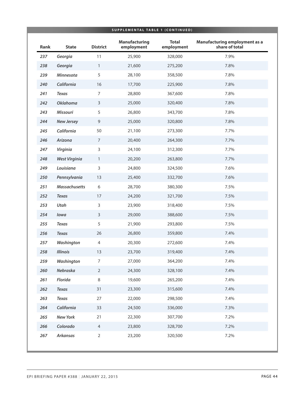|      |                      |                 | <b>SUPPLEMENTAL TABLE 1 (CONTINUED)</b> |                            |                                                 |
|------|----------------------|-----------------|-----------------------------------------|----------------------------|-------------------------------------------------|
| Rank | <b>State</b>         | <b>District</b> | <b>Manufacturing</b><br>employment      | <b>Total</b><br>employment | Manufacturing employment as a<br>share of total |
| 237  | Georgia              | 11              | 25,900                                  | 328,000                    | 7.9%                                            |
| 238  | Georgia              | $\mathbf{1}$    | 21,600                                  | 275,200                    | 7.8%                                            |
| 239  | Minnesota            | 5               | 28,100                                  | 358,500                    | 7.8%                                            |
| 240  | California           | 16              | 17,700                                  | 225,900                    | 7.8%                                            |
| 241  | <b>Texas</b>         | $\overline{7}$  | 28,800                                  | 367,600                    | 7.8%                                            |
| 242  | <b>Oklahoma</b>      | $\mathsf{3}$    | 25,000                                  | 320,400                    | 7.8%                                            |
| 243  | <b>Missouri</b>      | 5               | 26,800                                  | 343,700                    | 7.8%                                            |
| 244  | <b>New Jersey</b>    | $\overline{9}$  | 25,000                                  | 320,800                    | 7.8%                                            |
| 245  | California           | 50              | 21,100                                  | 273,300                    | 7.7%                                            |
| 246  | Arizona              | $\overline{7}$  | 20,400                                  | 264,300                    | 7.7%                                            |
| 247  | Virginia             | 3               | 24,100                                  | 312,300                    | 7.7%                                            |
| 248  | <b>West Virginia</b> | $\mathbf{1}$    | 20,200                                  | 263,800                    | 7.7%                                            |
| 249  | Louisiana            | 3               | 24,800                                  | 324,500                    | 7.6%                                            |
| 250  | Pennsylvania         | 13              | 25,400                                  | 332,700                    | 7.6%                                            |
| 251  | <b>Massachusetts</b> | 6               | 28,700                                  | 380,300                    | 7.5%                                            |
| 252  | <b>Texas</b>         | 17              | 24,200                                  | 321,700                    | 7.5%                                            |
| 253  | Utah                 | 3               | 23,900                                  | 318,400                    | 7.5%                                            |
| 254  | lowa                 | $\mathsf{3}$    | 29,000                                  | 388,600                    | 7.5%                                            |
| 255  | <b>Texas</b>         | 5               | 21,900                                  | 293,800                    | 7.5%                                            |
| 256  | <b>Texas</b>         | 26              | 26,800                                  | 359,800                    | 7.4%                                            |
| 257  | Washington           | $\overline{4}$  | 20,300                                  | 272,600                    | 7.4%                                            |
| 258  | <b>Illinois</b>      | 13              | 23,700                                  | 319,400                    | 7.4%                                            |
| 259  | Washington           | $\overline{7}$  | 27,000                                  | 364,200                    | 7.4%                                            |
| 260  | Nebraska             | $\overline{2}$  | 24,300                                  | 328,100                    | 7.4%                                            |
| 261  | Florida              | 8               | 19,600                                  | 265,200                    | 7.4%                                            |
| 262  | <b>Texas</b>         | 31              | 23,300                                  | 315,600                    | 7.4%                                            |
| 263  | <b>Texas</b>         | 27              | 22,000                                  | 298,500                    | 7.4%                                            |
| 264  | California           | 33              | 24,500                                  | 336,000                    | 7.3%                                            |
| 265  | <b>New York</b>      | 21              | 22,300                                  | 307,700                    | 7.2%                                            |
| 266  | Colorado             | $\overline{4}$  | 23,800                                  | 328,700                    | 7.2%                                            |
| 267  | Arkansas             | $\overline{2}$  | 23,200                                  | 320,500                    | 7.2%                                            |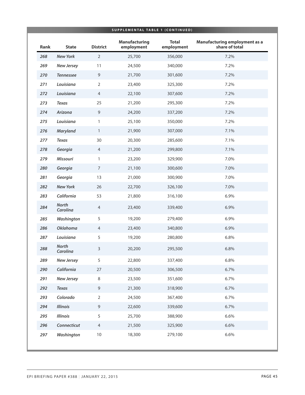| Rank | <b>State</b>             | <b>District</b> | <b>Manufacturing</b><br>employment | <b>Total</b><br>employment | Manufacturing employment as a<br>share of total |
|------|--------------------------|-----------------|------------------------------------|----------------------------|-------------------------------------------------|
| 268  | <b>New York</b>          | $\overline{2}$  | 25,700                             | 356,000                    | 7.2%                                            |
| 269  | <b>New Jersey</b>        | 11              | 24,500                             | 340,000                    | 7.2%                                            |
| 270  | <b>Tennessee</b>         | 9               | 21,700                             | 301,600                    | 7.2%                                            |
| 271  | Louisiana                | $\overline{2}$  | 23,400                             | 325,300                    | 7.2%                                            |
| 272  | Louisiana                | $\overline{4}$  | 22,100                             | 307,600                    | 7.2%                                            |
| 273  | <b>Texas</b>             | 25              | 21,200                             | 295,300                    | 7.2%                                            |
| 274  | Arizona                  | $\overline{9}$  | 24,200                             | 337,200                    | 7.2%                                            |
| 275  | Louisiana                | 1               | 25,100                             | 350,000                    | 7.2%                                            |
| 276  | Maryland                 | $\mathbf{1}$    | 21,900                             | 307,000                    | 7.1%                                            |
| 277  | <b>Texas</b>             | 30              | 20,300                             | 285,600                    | 7.1%                                            |
| 278  | Georgia                  | $\overline{4}$  | 21,200                             | 299,800                    | 7.1%                                            |
| 279  | <b>Missouri</b>          | 1               | 23,200                             | 329,900                    | 7.0%                                            |
| 280  | Georgia                  | $\overline{7}$  | 21,100                             | 300,600                    | 7.0%                                            |
| 281  | Georgia                  | 13              | 21,000                             | 300,900                    | 7.0%                                            |
| 282  | <b>New York</b>          | 26              | 22,700                             | 326,100                    | 7.0%                                            |
| 283  | California               | 53              | 21,800                             | 316,100                    | 6.9%                                            |
| 284  | <b>North</b><br>Carolina | $\overline{4}$  | 23,400                             | 339,400                    | 6.9%                                            |
| 285  | Washington               | 5               | 19,200                             | 279,400                    | 6.9%                                            |
| 286  | <b>Oklahoma</b>          | $\overline{4}$  | 23,400                             | 340,800                    | 6.9%                                            |
| 287  | Louisiana                | 5               | 19,200                             | 280,800                    | 6.8%                                            |
| 288  | <b>North</b><br>Carolina | 3               | 20,200                             | 295,500                    | 6.8%                                            |
| 289  | <b>New Jersey</b>        | 5               | 22,800                             | 337,400                    | 6.8%                                            |
| 290  | California               | 27              | 20,500                             | 306,500                    | 6.7%                                            |
| 291  | <b>New Jersey</b>        | 8               | 23,500                             | 351,600                    | 6.7%                                            |
| 292  | <b>Texas</b>             | $\overline{9}$  | 21,300                             | 318,900                    | 6.7%                                            |
| 293  | Colorado                 | $\overline{2}$  | 24,500                             | 367,400                    | 6.7%                                            |
| 294  | <b>Illinois</b>          | $\overline{9}$  | 22,600                             | 339,600                    | 6.7%                                            |
| 295  | <b>Illinois</b>          | 5               | 25,700                             | 388,900                    | 6.6%                                            |
| 296  | Connecticut              | $\overline{4}$  | 21,500                             | 325,900                    | 6.6%                                            |
| 297  | Washington               | $10\,$          | 18,300                             | 279,100                    | 6.6%                                            |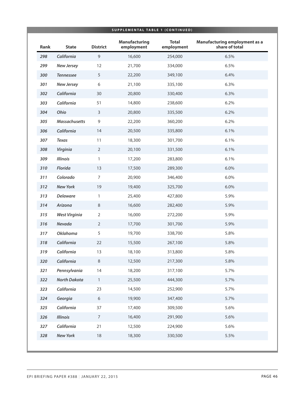|      |                      |                 | SUPPLEMENTAL TABLE 1 (CONTINUED)   |                            |                                                        |
|------|----------------------|-----------------|------------------------------------|----------------------------|--------------------------------------------------------|
| Rank | <b>State</b>         | <b>District</b> | <b>Manufacturing</b><br>employment | <b>Total</b><br>employment | <b>Manufacturing employment as a</b><br>share of total |
| 298  | California           | $\mathsf 9$     | 16,600                             | 254,000                    | 6.5%                                                   |
| 299  | <b>New Jersey</b>    | 12              | 21,700                             | 334,000                    | 6.5%                                                   |
| 300  | <b>Tennessee</b>     | 5               | 22,200                             | 349,100                    | 6.4%                                                   |
| 301  | <b>New Jersey</b>    | 6               | 21,100                             | 335,100                    | 6.3%                                                   |
| 302  | California           | 30              | 20,800                             | 330,400                    | 6.3%                                                   |
| 303  | California           | 51              | 14,800                             | 238,600                    | 6.2%                                                   |
| 304  | Ohio                 | $\mathsf{3}$    | 20,800                             | 335,500                    | 6.2%                                                   |
| 305  | <b>Massachusetts</b> | $\mathsf 9$     | 22,200                             | 360,200                    | 6.2%                                                   |
| 306  | California           | 14              | 20,500                             | 335,800                    | 6.1%                                                   |
| 307  | <b>Texas</b>         | 11              | 18,300                             | 301,700                    | 6.1%                                                   |
| 308  | Virginia             | $\overline{2}$  | 20,100                             | 331,500                    | 6.1%                                                   |
| 309  | <b>Illinois</b>      | 1               | 17,200                             | 283,800                    | 6.1%                                                   |
| 310  | Florida              | 13              | 17,500                             | 289,300                    | 6.0%                                                   |
| 311  | Colorado             | $\overline{7}$  | 20,900                             | 346,400                    | 6.0%                                                   |
| 312  | <b>New York</b>      | 19              | 19,400                             | 325,700                    | 6.0%                                                   |
| 313  | <b>Delaware</b>      | $\mathbf{1}$    | 25,400                             | 427,800                    | 5.9%                                                   |
| 314  | Arizona              | 8               | 16,600                             | 282,400                    | 5.9%                                                   |
| 315  | <b>West Virginia</b> | $\overline{2}$  | 16,000                             | 272,200                    | 5.9%                                                   |
| 316  | Nevada               | $\overline{2}$  | 17,700                             | 301,700                    | 5.9%                                                   |
| 317  | <b>Oklahoma</b>      | 5               | 19,700                             | 338,700                    | 5.8%                                                   |
| 318  | California           | 22              | 15,500                             | 267,100                    | 5.8%                                                   |
| 319  | California           | 13              | 18,100                             | 313,800                    | 5.8%                                                   |
| 320  | California           | $\,8\,$         | 12,500                             | 217,300                    | 5.8%                                                   |
| 321  | Pennsylvania         | 14              | 18,200                             | 317,100                    | 5.7%                                                   |
| 322  | <b>North Dakota</b>  | $\mathbf{1}$    | 25,500                             | 444,300                    | 5.7%                                                   |
| 323  | California           | 23              | 14,500                             | 252,900                    | 5.7%                                                   |
| 324  | Georgia              | 6               | 19,900                             | 347,400                    | 5.7%                                                   |
| 325  | California           | 37              | 17,400                             | 309,500                    | 5.6%                                                   |
| 326  | <b>Illinois</b>      | $\overline{7}$  | 16,400                             | 291,900                    | 5.6%                                                   |
| 327  | California           | 21              | 12,500                             | 224,900                    | 5.6%                                                   |
| 328  | <b>New York</b>      | 18              | 18,300                             | 330,500                    | 5.5%                                                   |
|      |                      |                 |                                    |                            |                                                        |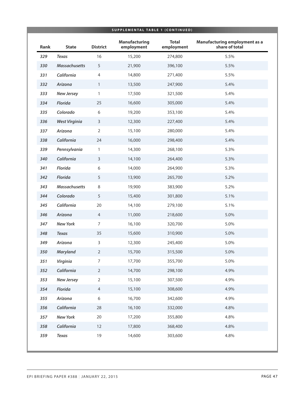|      |                      |                 | SUPPLEMENTAL TABLE 1 (CONTINUED)   |                            |                                                 |
|------|----------------------|-----------------|------------------------------------|----------------------------|-------------------------------------------------|
| Rank | <b>State</b>         | <b>District</b> | <b>Manufacturing</b><br>employment | <b>Total</b><br>employment | Manufacturing employment as a<br>share of total |
| 329  | <b>Texas</b>         | 16              | 15,200                             | 274,800                    | 5.5%                                            |
| 330  | <b>Massachusetts</b> | 5               | 21,900                             | 396,100                    | 5.5%                                            |
| 331  | California           | $\overline{4}$  | 14,800                             | 271,400                    | 5.5%                                            |
| 332  | Arizona              | $\mathbf{1}$    | 13,500                             | 247,900                    | 5.4%                                            |
| 333  | <b>New Jersey</b>    | 1               | 17,500                             | 321,500                    | 5.4%                                            |
| 334  | <b>Florida</b>       | 25              | 16,600                             | 305,000                    | 5.4%                                            |
| 335  | Colorado             | 6               | 19,200                             | 353,100                    | 5.4%                                            |
| 336  | <b>West Virginia</b> | $\mathsf{3}$    | 12,300                             | 227,400                    | 5.4%                                            |
| 337  | Arizona              | $\overline{2}$  | 15,100                             | 280,000                    | 5.4%                                            |
| 338  | California           | 24              | 16,000                             | 298,400                    | 5.4%                                            |
| 339  | Pennsylvania         | 1               | 14,300                             | 268,100                    | 5.3%                                            |
| 340  | California           | $\mathsf{3}$    | 14,100                             | 264,400                    | 5.3%                                            |
| 341  | Florida              | 6               | 14,000                             | 264,900                    | 5.3%                                            |
| 342  | Florida              | 5               | 13,900                             | 265,700                    | 5.2%                                            |
| 343  | <b>Massachusetts</b> | 8               | 19,900                             | 383,900                    | 5.2%                                            |
| 344  | Colorado             | 5               | 15,400                             | 301,800                    | 5.1%                                            |
| 345  | California           | 20              | 14,100                             | 279,100                    | 5.1%                                            |
| 346  | Arizona              | $\overline{4}$  | 11,000                             | 218,600                    | 5.0%                                            |
| 347  | <b>New York</b>      | $\overline{7}$  | 16,100                             | 320,700                    | 5.0%                                            |
| 348  | <b>Texas</b>         | 35              | 15,600                             | 310,900                    | 5.0%                                            |
| 349  | Arizona              | 3               | 12,300                             | 245,400                    | 5.0%                                            |
| 350  | <b>Maryland</b>      | $\overline{2}$  | 15,700                             | 315,500                    | 5.0%                                            |
| 351  | Virginia             | $\overline{7}$  | 17,700                             | 355,700                    | 5.0%                                            |
| 352  | California           | $\overline{2}$  | 14,700                             | 298,100                    | 4.9%                                            |
| 353  | <b>New Jersey</b>    | $\overline{2}$  | 15,100                             | 307,500                    | 4.9%                                            |
| 354  | Florida              | $\overline{4}$  | 15,100                             | 308,600                    | 4.9%                                            |
| 355  | Arizona              | 6               | 16,700                             | 342,600                    | 4.9%                                            |
| 356  | California           | 28              | 16,100                             | 332,000                    | 4.8%                                            |
| 357  | <b>New York</b>      | 20              | 17,200                             | 355,800                    | 4.8%                                            |
| 358  | California           | 12              | 17,800                             | 368,400                    | 4.8%                                            |
| 359  | <b>Texas</b>         | 19              | 14,600                             | 303,600                    | 4.8%                                            |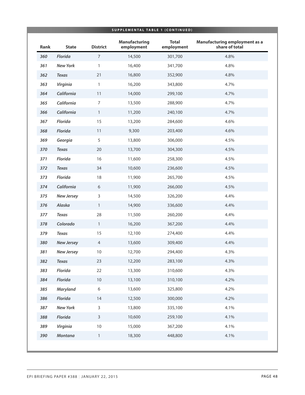|      |                   |                 |                                    | SUPPLEMENTAL TABLE 1 (CONTINUED) |                                                        |
|------|-------------------|-----------------|------------------------------------|----------------------------------|--------------------------------------------------------|
| Rank | <b>State</b>      | <b>District</b> | <b>Manufacturing</b><br>employment | <b>Total</b><br>employment       | <b>Manufacturing employment as a</b><br>share of total |
| 360  | Florida           | $\overline{7}$  | 14,500                             | 301,700                          | 4.8%                                                   |
| 361  | <b>New York</b>   | $\mathbf{1}$    | 16,400                             | 341,700                          | 4.8%                                                   |
| 362  | <b>Texas</b>      | 21              | 16,800                             | 352,900                          | 4.8%                                                   |
| 363  | Virginia          | $\mathbf{1}$    | 16,200                             | 343,800                          | 4.7%                                                   |
| 364  | California        | $11$            | 14,000                             | 299,100                          | 4.7%                                                   |
| 365  | California        | $\overline{7}$  | 13,500                             | 288,900                          | 4.7%                                                   |
| 366  | California        | $\mathbf{1}$    | 11,200                             | 240,100                          | 4.7%                                                   |
| 367  | Florida           | 15              | 13,200                             | 284,600                          | 4.6%                                                   |
| 368  | Florida           | 11              | 9,300                              | 203,400                          | 4.6%                                                   |
| 369  | Georgia           | 5               | 13,800                             | 306,000                          | 4.5%                                                   |
| 370  | <b>Texas</b>      | 20              | 13,700                             | 304,300                          | 4.5%                                                   |
| 371  | Florida           | 16              | 11,600                             | 258,300                          | 4.5%                                                   |
| 372  | <b>Texas</b>      | 34              | 10,600                             | 236,600                          | 4.5%                                                   |
| 373  | Florida           | 18              | 11,900                             | 265,700                          | 4.5%                                                   |
| 374  | California        | $6\,$           | 11,900                             | 266,000                          | 4.5%                                                   |
| 375  | <b>New Jersey</b> | $\mathsf{3}$    | 14,500                             | 326,200                          | 4.4%                                                   |
| 376  | Alaska            | $\mathbf{1}$    | 14,900                             | 336,600                          | 4.4%                                                   |
| 377  | <b>Texas</b>      | 28              | 11,500                             | 260,200                          | 4.4%                                                   |
| 378  | Colorado          | $\mathbf{1}$    | 16,200                             | 367,200                          | 4.4%                                                   |
| 379  | <b>Texas</b>      | 15              | 12,100                             | 274,400                          | 4.4%                                                   |
| 380  | <b>New Jersey</b> | $\overline{4}$  | 13,600                             | 309,400                          | 4.4%                                                   |
| 381  | <b>New Jersey</b> | $10\,$          | 12,700                             | 294,400                          | 4.3%                                                   |
| 382  | <b>Texas</b>      | 23              | 12,200                             | 283,100                          | 4.3%                                                   |
| 383  | Florida           | 22              | 13,300                             | 310,600                          | 4.3%                                                   |
| 384  | Florida           | 10              | 13,100                             | 310,100                          | 4.2%                                                   |
| 385  | <b>Maryland</b>   | 6               | 13,600                             | 325,800                          | 4.2%                                                   |
| 386  | Florida           | 14              | 12,500                             | 300,000                          | 4.2%                                                   |
| 387  | <b>New York</b>   | 3               | 13,800                             | 335,100                          | 4.1%                                                   |
| 388  | Florida           | $\mathsf{3}$    | 10,600                             | 259,100                          | 4.1%                                                   |
| 389  | Virginia          | $10$            | 15,000                             | 367,200                          | 4.1%                                                   |
| 390  | Montana           | $\mathbbm{1}$   | 18,300                             | 448,800                          | 4.1%                                                   |
|      |                   |                 |                                    |                                  |                                                        |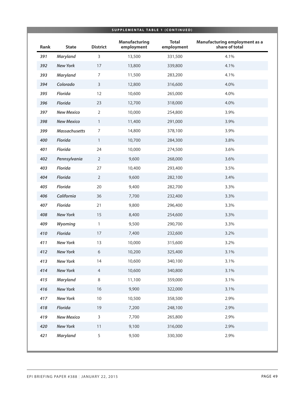| SUPPLEMENTAL TABLE 1 (CONTINUED) |                      |                 |                                    |                            |                                                 |  |
|----------------------------------|----------------------|-----------------|------------------------------------|----------------------------|-------------------------------------------------|--|
| Rank                             | <b>State</b>         | <b>District</b> | <b>Manufacturing</b><br>employment | <b>Total</b><br>employment | Manufacturing employment as a<br>share of total |  |
| 391                              | Maryland             | 3               | 13,500                             | 331,500                    | 4.1%                                            |  |
| 392                              | <b>New York</b>      | $17\,$          | 13,800                             | 339,800                    | 4.1%                                            |  |
| 393                              | Maryland             | 7               | 11,500                             | 283,200                    | 4.1%                                            |  |
| 394                              | Colorado             | $\mathsf{3}$    | 12,800                             | 316,600                    | 4.0%                                            |  |
| 395                              | Florida              | 12              | 10,600                             | 265,000                    | 4.0%                                            |  |
| 396                              | Florida              | 23              | 12,700                             | 318,000                    | 4.0%                                            |  |
| 397                              | <b>New Mexico</b>    | $\overline{2}$  | 10,000                             | 254,800                    | 3.9%                                            |  |
| 398                              | <b>New Mexico</b>    | 1               | 11,400                             | 291,000                    | 3.9%                                            |  |
| 399                              | <b>Massachusetts</b> | $\overline{7}$  | 14,800                             | 378,100                    | 3.9%                                            |  |
| 400                              | Florida              | $\mathbf{1}$    | 10,700                             | 284,300                    | 3.8%                                            |  |
| 401                              | Florida              | 24              | 10,000                             | 274,500                    | 3.6%                                            |  |
| 402                              | Pennsylvania         | $\overline{2}$  | 9,600                              | 268,000                    | 3.6%                                            |  |
| 403                              | Florida              | 27              | 10,400                             | 293,400                    | 3.5%                                            |  |
| 404                              | Florida              | $\overline{2}$  | 9,600                              | 282,100                    | 3.4%                                            |  |
| 405                              | Florida              | 20              | 9,400                              | 282,700                    | 3.3%                                            |  |
| 406                              | California           | 36              | 7,700                              | 232,400                    | 3.3%                                            |  |
| 407                              | Florida              | 21              | 9,800                              | 296,400                    | 3.3%                                            |  |
| 408                              | <b>New York</b>      | 15              | 8,400                              | 254,600                    | 3.3%                                            |  |
| 409                              | Wyoming              | $\mathbf{1}$    | 9,500                              | 290,700                    | 3.3%                                            |  |
| 410                              | Florida              | 17              | 7,400                              | 232,600                    | 3.2%                                            |  |
| 411                              | <b>New York</b>      | 13              | 10,000                             | 315,600                    | 3.2%                                            |  |
| 412                              | <b>New York</b>      | 6               | 10,200                             | 325,400                    | 3.1%                                            |  |
| 413                              | <b>New York</b>      | 14              | 10,600                             | 340,100                    | 3.1%                                            |  |
| 414                              | <b>New York</b>      | $\overline{4}$  | 10,600                             | 340,800                    | 3.1%                                            |  |
| 415                              | Maryland             | 8               | 11,100                             | 359,000                    | 3.1%                                            |  |
| 416                              | <b>New York</b>      | 16              | 9,900                              | 322,000                    | 3.1%                                            |  |
| 417                              | <b>New York</b>      | $10$            | 10,500                             | 358,500                    | 2.9%                                            |  |
| 418                              | Florida              | 19              | 7,200                              | 248,100                    | 2.9%                                            |  |
| 419                              | <b>New Mexico</b>    | 3               | 7,700                              | 265,800                    | 2.9%                                            |  |
| 420                              | <b>New York</b>      | 11              | 9,100                              | 316,000                    | 2.9%                                            |  |
| 421                              | <b>Maryland</b>      | 5               | 9,500                              | 330,300                    | 2.9%                                            |  |